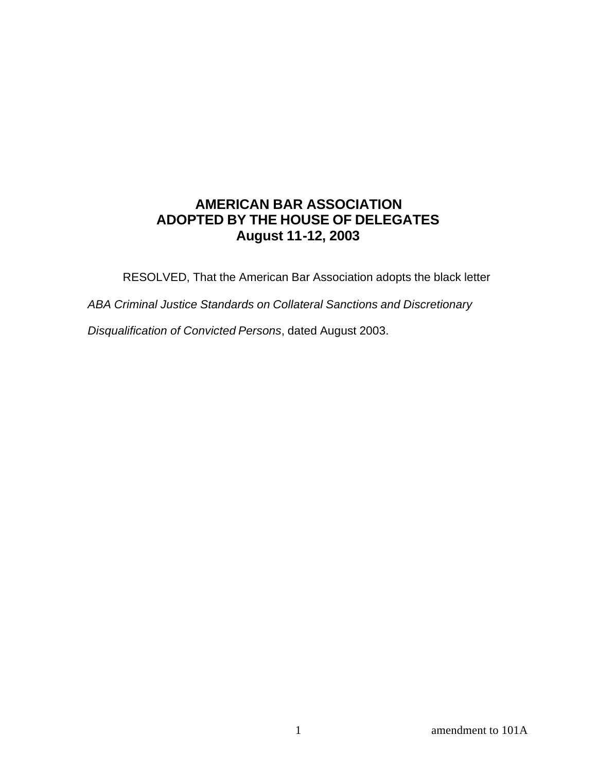# **AMERICAN BAR ASSOCIATION ADOPTED BY THE HOUSE OF DELEGATES August 11-12, 2003**

RESOLVED, That the American Bar Association adopts the black letter

*ABA Criminal Justice Standards on Collateral Sanctions and Discretionary* 

*Disqualification of Convicted Persons*, dated August 2003.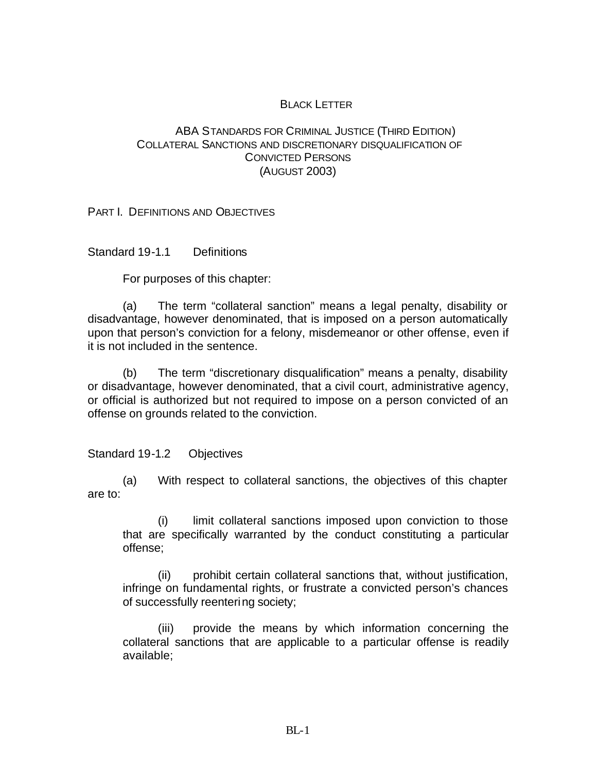### BLACK LETTER

#### ABA STANDARDS FOR CRIMINAL JUSTICE (THIRD EDITION) COLLATERAL SANCTIONS AND DISCRETIONARY DISQUALIFICATION OF CONVICTED PERSONS (AUGUST 2003)

PART I. DEFINITIONS AND OBJECTIVES

Standard 19-1.1 Definitions

For purposes of this chapter:

(a) The term "collateral sanction" means a legal penalty, disability or disadvantage, however denominated, that is imposed on a person automatically upon that person's conviction for a felony, misdemeanor or other offense, even if it is not included in the sentence.

(b) The term "discretionary disqualification" means a penalty, disability or disadvantage, however denominated, that a civil court, administrative agency, or official is authorized but not required to impose on a person convicted of an offense on grounds related to the conviction.

Standard 19-1.2 Objectives

(a) With respect to collateral sanctions, the objectives of this chapter are to:

(i) limit collateral sanctions imposed upon conviction to those that are specifically warranted by the conduct constituting a particular offense;

(ii) prohibit certain collateral sanctions that, without justification, infringe on fundamental rights, or frustrate a convicted person's chances of successfully reentering society;

(iii) provide the means by which information concerning the collateral sanctions that are applicable to a particular offense is readily available;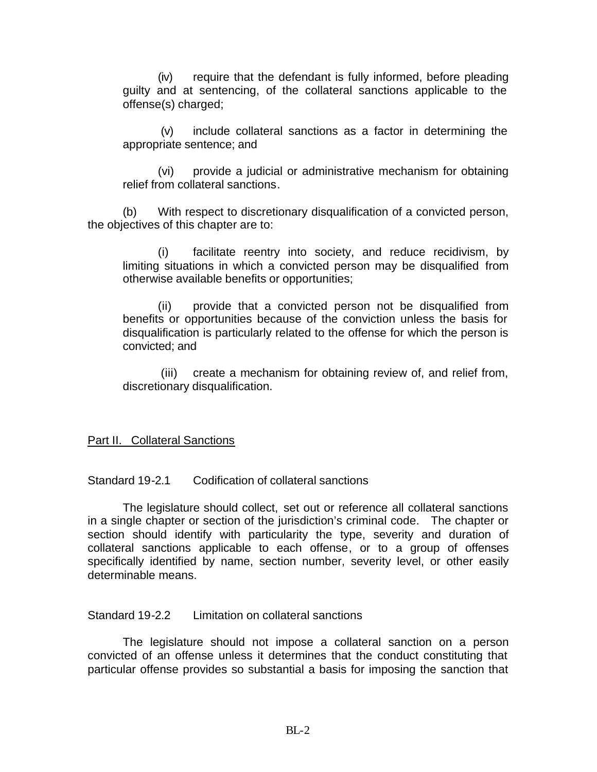(iv) require that the defendant is fully informed, before pleading guilty and at sentencing, of the collateral sanctions applicable to the offense(s) charged;

 (v) include collateral sanctions as a factor in determining the appropriate sentence; and

(vi) provide a judicial or administrative mechanism for obtaining relief from collateral sanctions.

 (b) With respect to discretionary disqualification of a convicted person, the objectives of this chapter are to:

(i) facilitate reentry into society, and reduce recidivism, by limiting situations in which a convicted person may be disqualified from otherwise available benefits or opportunities;

(ii) provide that a convicted person not be disqualified from benefits or opportunities because of the conviction unless the basis for disqualification is particularly related to the offense for which the person is convicted; and

 (iii) create a mechanism for obtaining review of, and relief from, discretionary disqualification.

### Part II. Collateral Sanctions

Standard 19-2.1 Codification of collateral sanctions

The legislature should collect, set out or reference all collateral sanctions in a single chapter or section of the jurisdiction's criminal code. The chapter or section should identify with particularity the type, severity and duration of collateral sanctions applicable to each offense, or to a group of offenses specifically identified by name, section number, severity level, or other easily determinable means.

#### Standard 19-2.2 Limitation on collateral sanctions

The legislature should not impose a collateral sanction on a person convicted of an offense unless it determines that the conduct constituting that particular offense provides so substantial a basis for imposing the sanction that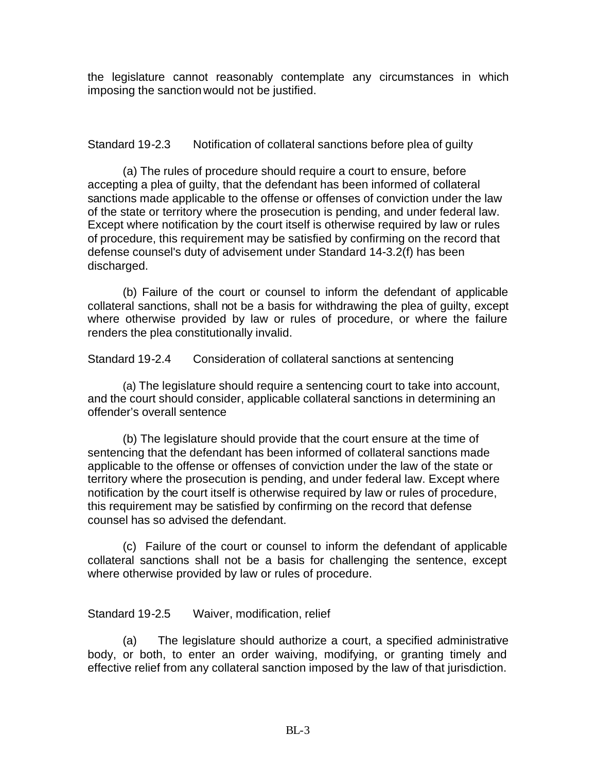the legislature cannot reasonably contemplate any circumstances in which imposing the sanction would not be justified.

Standard 19-2.3 Notification of collateral sanctions before plea of guilty

(a) The rules of procedure should require a court to ensure, before accepting a plea of guilty, that the defendant has been informed of collateral sanctions made applicable to the offense or offenses of conviction under the law of the state or territory where the prosecution is pending, and under federal law. Except where notification by the court itself is otherwise required by law or rules of procedure, this requirement may be satisfied by confirming on the record that defense counsel's duty of advisement under Standard 14-3.2(f) has been discharged.

(b) Failure of the court or counsel to inform the defendant of applicable collateral sanctions, shall not be a basis for withdrawing the plea of guilty, except where otherwise provided by law or rules of procedure, or where the failure renders the plea constitutionally invalid.

Standard 19-2.4 Consideration of collateral sanctions at sentencing

(a) The legislature should require a sentencing court to take into account, and the court should consider, applicable collateral sanctions in determining an offender's overall sentence

(b) The legislature should provide that the court ensure at the time of sentencing that the defendant has been informed of collateral sanctions made applicable to the offense or offenses of conviction under the law of the state or territory where the prosecution is pending, and under federal law. Except where notification by the court itself is otherwise required by law or rules of procedure, this requirement may be satisfied by confirming on the record that defense counsel has so advised the defendant.

(c) Failure of the court or counsel to inform the defendant of applicable collateral sanctions shall not be a basis for challenging the sentence, except where otherwise provided by law or rules of procedure.

Standard 19-2.5 Waiver, modification, relief

(a) The legislature should authorize a court, a specified administrative body, or both, to enter an order waiving, modifying, or granting timely and effective relief from any collateral sanction imposed by the law of that jurisdiction.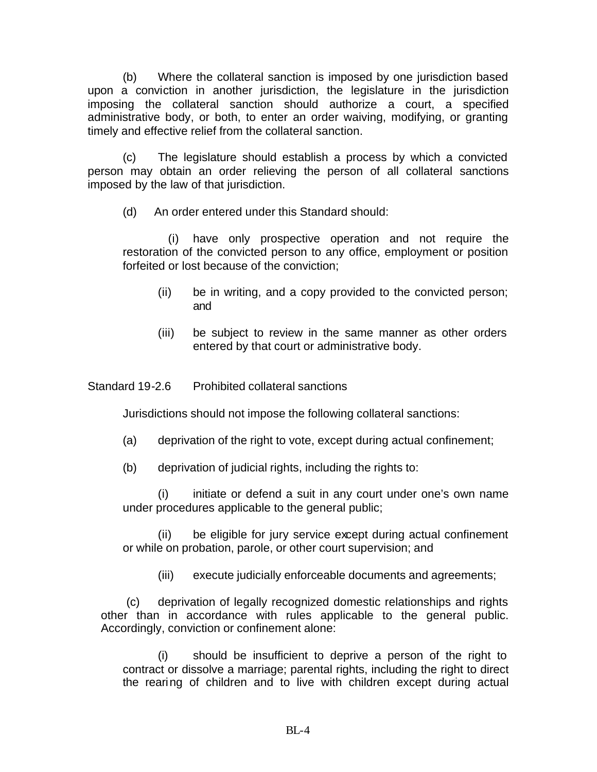(b) Where the collateral sanction is imposed by one jurisdiction based upon a conviction in another jurisdiction, the legislature in the jurisdiction imposing the collateral sanction should authorize a court, a specified administrative body, or both, to enter an order waiving, modifying, or granting timely and effective relief from the collateral sanction.

(c) The legislature should establish a process by which a convicted person may obtain an order relieving the person of all collateral sanctions imposed by the law of that jurisdiction.

(d) An order entered under this Standard should:

 (i) have only prospective operation and not require the restoration of the convicted person to any office, employment or position forfeited or lost because of the conviction;

- (ii) be in writing, and a copy provided to the convicted person; and
- (iii) be subject to review in the same manner as other orders entered by that court or administrative body.

Standard 19-2.6 Prohibited collateral sanctions

Jurisdictions should not impose the following collateral sanctions:

- (a) deprivation of the right to vote, except during actual confinement;
- (b) deprivation of judicial rights, including the rights to:

(i) initiate or defend a suit in any court under one's own name under procedures applicable to the general public;

(ii) be eligible for jury service except during actual confinement or while on probation, parole, or other court supervision; and

(iii) execute judicially enforceable documents and agreements;

 (c) deprivation of legally recognized domestic relationships and rights other than in accordance with rules applicable to the general public. Accordingly, conviction or confinement alone:

(i) should be insufficient to deprive a person of the right to contract or dissolve a marriage; parental rights, including the right to direct the rearing of children and to live with children except during actual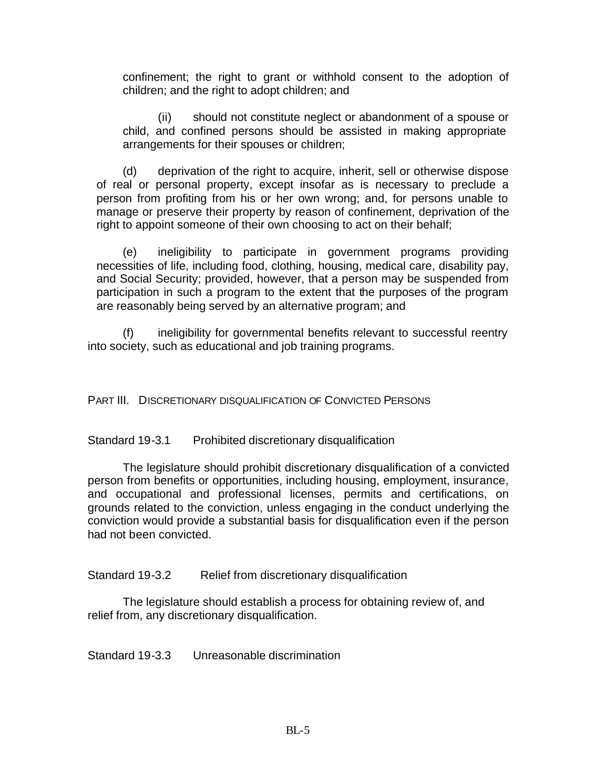confinement; the right to grant or withhold consent to the adoption of children; and the right to adopt children; and

(ii) should not constitute neglect or abandonment of a spouse or child, and confined persons should be assisted in making appropriate arrangements for their spouses or children;

(d) deprivation of the right to acquire, inherit, sell or otherwise dispose of real or personal property, except insofar as is necessary to preclude a person from profiting from his or her own wrong; and, for persons unable to manage or preserve their property by reason of confinement, deprivation of the right to appoint someone of their own choosing to act on their behalf;

(e) ineligibility to participate in government programs providing necessities of life, including food, clothing, housing, medical care, disability pay, and Social Security; provided, however, that a person may be suspended from participation in such a program to the extent that the purposes of the program are reasonably being served by an alternative program; and

(f) ineligibility for governmental benefits relevant to successful reentry into society, such as educational and job training programs.

PART III. DISCRETIONARY DISQUALIFICATION OF CONVICTED PERSONS

Standard 19-3.1 Prohibited discretionary disqualification

The legislature should prohibit discretionary disqualification of a convicted person from benefits or opportunities, including housing, employment, insurance, and occupational and professional licenses, permits and certifications, on grounds related to the conviction, unless engaging in the conduct underlying the conviction would provide a substantial basis for disqualification even if the person had not been convicted.

Standard 19-3.2 Relief from discretionary disqualification

The legislature should establish a process for obtaining review of, and relief from, any discretionary disqualification.

Standard 19-3.3 Unreasonable discrimination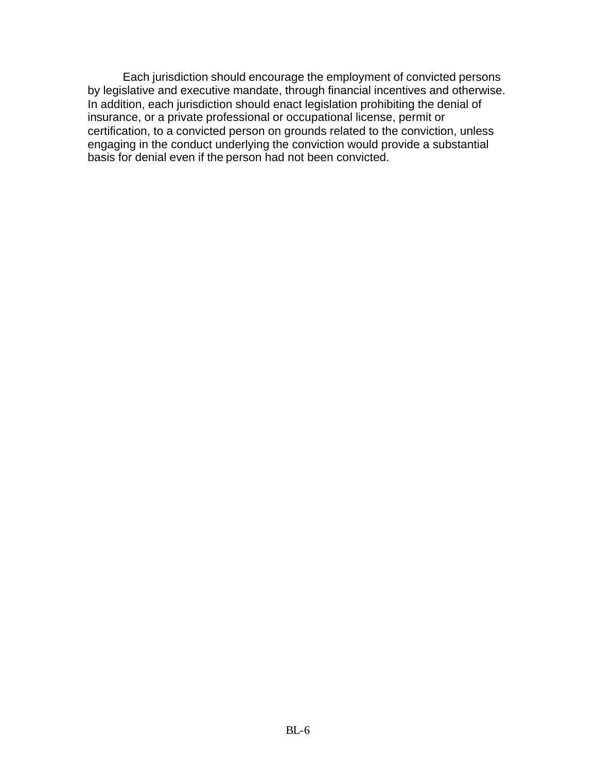Each jurisdiction should encourage the employment of convicted persons by legislative and executive mandate, through financial incentives and otherwise. In addition, each jurisdiction should enact legislation prohibiting the denial of insurance, or a private professional or occupational license, permit or certification, to a convicted person on grounds related to the conviction, unless engaging in the conduct underlying the conviction would provide a substantial basis for denial even if the person had not been convicted.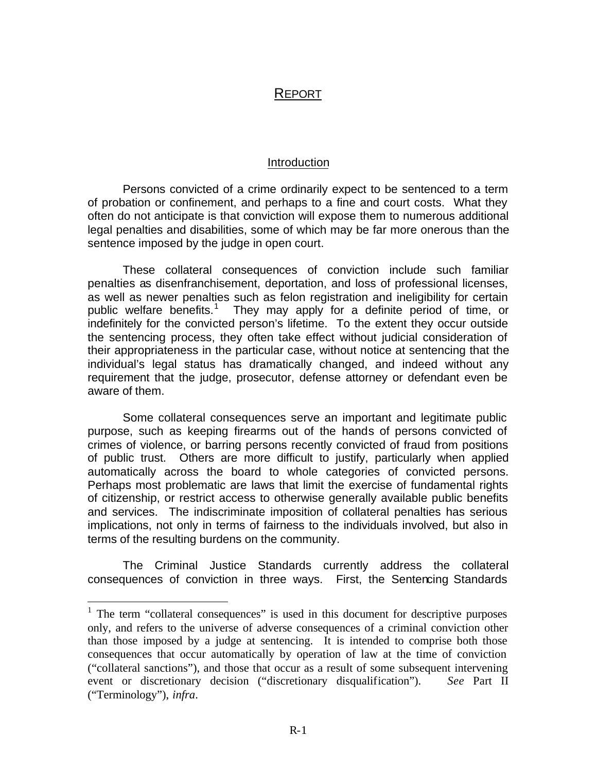# REPORT

#### Introduction

Persons convicted of a crime ordinarily expect to be sentenced to a term of probation or confinement, and perhaps to a fine and court costs. What they often do not anticipate is that conviction will expose them to numerous additional legal penalties and disabilities, some of which may be far more onerous than the sentence imposed by the judge in open court.

These collateral consequences of conviction include such familiar penalties as disenfranchisement, deportation, and loss of professional licenses, as well as newer penalties such as felon registration and ineligibility for certain public welfare benefits.<sup>1</sup> They may apply for a definite period of time, or indefinitely for the convicted person's lifetime. To the extent they occur outside the sentencing process, they often take effect without judicial consideration of their appropriateness in the particular case, without notice at sentencing that the individual's legal status has dramatically changed, and indeed without any requirement that the judge, prosecutor, defense attorney or defendant even be aware of them.

Some collateral consequences serve an important and legitimate public purpose, such as keeping firearms out of the hands of persons convicted of crimes of violence, or barring persons recently convicted of fraud from positions of public trust. Others are more difficult to justify, particularly when applied automatically across the board to whole categories of convicted persons. Perhaps most problematic are laws that limit the exercise of fundamental rights of citizenship, or restrict access to otherwise generally available public benefits and services. The indiscriminate imposition of collateral penalties has serious implications, not only in terms of fairness to the individuals involved, but also in terms of the resulting burdens on the community.

The Criminal Justice Standards currently address the collateral consequences of conviction in three ways. First, the Sentencing Standards

<sup>&</sup>lt;sup>1</sup> The term "collateral consequences" is used in this document for descriptive purposes only, and refers to the universe of adverse consequences of a criminal conviction other than those imposed by a judge at sentencing. It is intended to comprise both those consequences that occur automatically by operation of law at the time of conviction ("collateral sanctions"), and those that occur as a result of some subsequent intervening event or discretionary decision ("discretionary disqualification"). *See* Part II ("Terminology"), *infra*.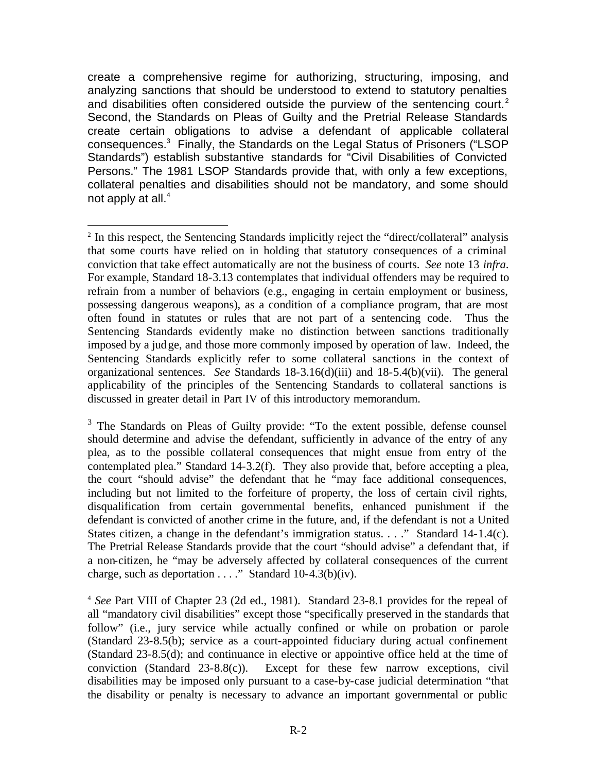create a comprehensive regime for authorizing, structuring, imposing, and analyzing sanctions that should be understood to extend to statutory penalties and disabilities often considered outside the purview of the sentencing court.<sup>2</sup> Second, the Standards on Pleas of Guilty and the Pretrial Release Standards create certain obligations to advise a defendant of applicable collateral consequences.<sup>3</sup> Finally, the Standards on the Legal Status of Prisoners ("LSOP Standards") establish substantive standards for "Civil Disabilities of Convicted Persons." The 1981 LSOP Standards provide that, with only a few exceptions, collateral penalties and disabilities should not be mandatory, and some should not apply at all. $^4$ 

 $\overline{a}$ <sup>2</sup> In this respect, the Sentencing Standards implicitly reject the "direct/collateral" analysis that some courts have relied on in holding that statutory consequences of a criminal conviction that take effect automatically are not the business of courts. *See* note 13 *infra*. For example, Standard 18-3.13 contemplates that individual offenders may be required to refrain from a number of behaviors (e.g., engaging in certain employment or business, possessing dangerous weapons), as a condition of a compliance program, that are most often found in statutes or rules that are not part of a sentencing code. Thus the Sentencing Standards evidently make no distinction between sanctions traditionally imposed by a judge, and those more commonly imposed by operation of law. Indeed, the Sentencing Standards explicitly refer to some collateral sanctions in the context of organizational sentences. *See* Standards 18-3.16(d)(iii) and 18-5.4(b)(vii). The general applicability of the principles of the Sentencing Standards to collateral sanctions is discussed in greater detail in Part IV of this introductory memorandum.

<sup>&</sup>lt;sup>3</sup> The Standards on Pleas of Guilty provide: "To the extent possible, defense counsel should determine and advise the defendant, sufficiently in advance of the entry of any plea, as to the possible collateral consequences that might ensue from entry of the contemplated plea." Standard 14-3.2(f). They also provide that, before accepting a plea, the court "should advise" the defendant that he "may face additional consequences, including but not limited to the forfeiture of property, the loss of certain civil rights, disqualification from certain governmental benefits, enhanced punishment if the defendant is convicted of another crime in the future, and, if the defendant is not a United States citizen, a change in the defendant's immigration status. . . ." Standard 14-1.4(c). The Pretrial Release Standards provide that the court "should advise" a defendant that, if a non-citizen, he "may be adversely affected by collateral consequences of the current charge, such as deportation  $\dots$ ." Standard 10-4.3(b)(iv).

<sup>&</sup>lt;sup>4</sup> See Part VIII of Chapter 23 (2d ed., 1981). Standard 23-8.1 provides for the repeal of all "mandatory civil disabilities" except those "specifically preserved in the standards that follow" (i.e., jury service while actually confined or while on probation or parole (Standard 23-8.5(b); service as a court-appointed fiduciary during actual confinement (Standard 23-8.5(d); and continuance in elective or appointive office held at the time of conviction (Standard 23-8.8(c)). Except for these few narrow exceptions, civil disabilities may be imposed only pursuant to a case-by-case judicial determination "that the disability or penalty is necessary to advance an important governmental or public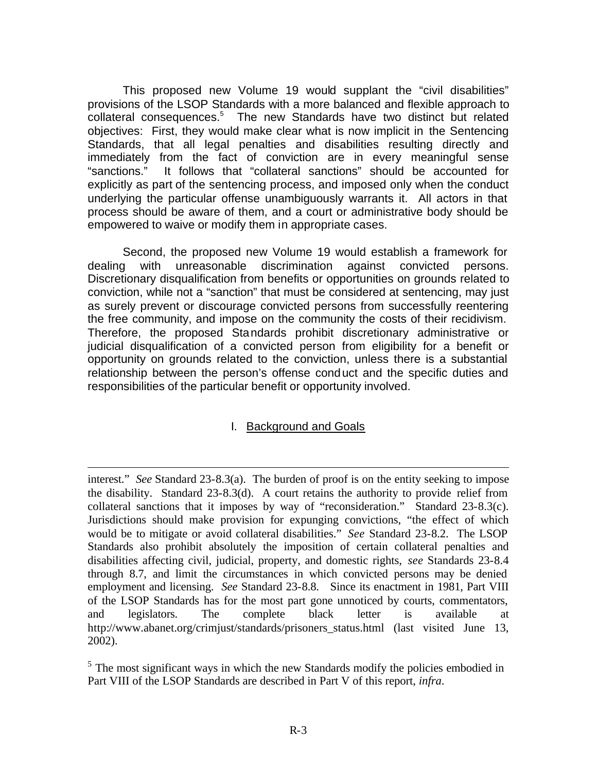This proposed new Volume 19 would supplant the "civil disabilities" provisions of the LSOP Standards with a more balanced and flexible approach to collateral consequences.<sup>5</sup> The new Standards have two distinct but related objectives: First, they would make clear what is now implicit in the Sentencing Standards, that all legal penalties and disabilities resulting directly and immediately from the fact of conviction are in every meaningful sense "sanctions." It follows that "collateral sanctions" should be accounted for explicitly as part of the sentencing process, and imposed only when the conduct underlying the particular offense unambiguously warrants it. All actors in that process should be aware of them, and a court or administrative body should be empowered to waive or modify them in appropriate cases.

Second, the proposed new Volume 19 would establish a framework for dealing with unreasonable discrimination against convicted persons. Discretionary disqualification from benefits or opportunities on grounds related to conviction, while not a "sanction" that must be considered at sentencing, may just as surely prevent or discourage convicted persons from successfully reentering the free community, and impose on the community the costs of their recidivism. Therefore, the proposed Standards prohibit discretionary administrative or judicial disqualification of a convicted person from eligibility for a benefit or opportunity on grounds related to the conviction, unless there is a substantial relationship between the person's offense conduct and the specific duties and responsibilities of the particular benefit or opportunity involved.

## I. Background and Goals

 $\overline{a}$ interest." *See* Standard 23-8.3(a). The burden of proof is on the entity seeking to impose the disability. Standard 23-8.3(d). A court retains the authority to provide relief from collateral sanctions that it imposes by way of "reconsideration." Standard 23-8.3(c). Jurisdictions should make provision for expunging convictions, "the effect of which would be to mitigate or avoid collateral disabilities." *See* Standard 23-8.2. The LSOP Standards also prohibit absolutely the imposition of certain collateral penalties and disabilities affecting civil, judicial, property, and domestic rights, *see* Standards 23-8.4 through 8.7, and limit the circumstances in which convicted persons may be denied employment and licensing. *See* Standard 23-8.8. Since its enactment in 1981, Part VIII of the LSOP Standards has for the most part gone unnoticed by courts, commentators, and legislators. The complete black letter is available at http://www.abanet.org/crimjust/standards/prisoners\_status.html (last visited June 13, 2002).

<sup>&</sup>lt;sup>5</sup> The most significant ways in which the new Standards modify the policies embodied in Part VIII of the LSOP Standards are described in Part V of this report, *infra*.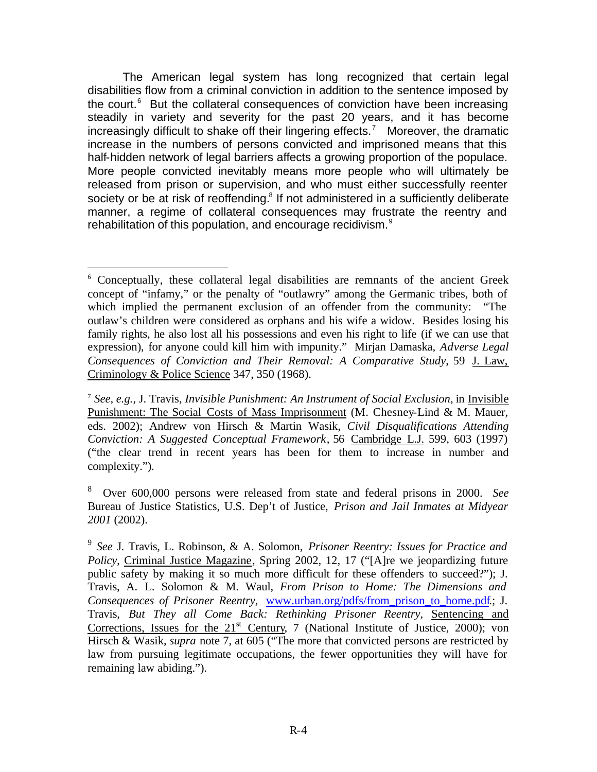The American legal system has long recognized that certain legal disabilities flow from a criminal conviction in addition to the sentence imposed by the court.<sup>6</sup> But the collateral consequences of conviction have been increasing steadily in variety and severity for the past 20 years, and it has become increasingly difficult to shake off their lingering effects.<sup>7</sup> Moreover, the dramatic increase in the numbers of persons convicted and imprisoned means that this half-hidden network of legal barriers affects a growing proportion of the populace. More people convicted inevitably means more people who will ultimately be released from prison or supervision, and who must either successfully reenter society or be at risk of reoffending.<sup>8</sup> If not administered in a sufficiently deliberate manner, a regime of collateral consequences may frustrate the reentry and rehabilitation of this population, and encourage recidivism.<sup>9</sup>

<sup>&</sup>lt;sup>6</sup> Conceptually, these collateral legal disabilities are remnants of the ancient Greek concept of "infamy," or the penalty of "outlawry" among the Germanic tribes, both of which implied the permanent exclusion of an offender from the community: "The outlaw's children were considered as orphans and his wife a widow. Besides losing his family rights, he also lost all his possessions and even his right to life (if we can use that expression), for anyone could kill him with impunity." Mirjan Damaska, *Adverse Legal Consequences of Conviction and Their Removal: A Comparative Study*, 59 J. Law, Criminology & Police Science 347, 350 (1968).

<sup>7</sup> *See, e.g.,* J. Travis, *Invisible Punishment: An Instrument of Social Exclusion*, in Invisible Punishment: The Social Costs of Mass Imprisonment (M. Chesney-Lind & M. Mauer, eds. 2002); Andrew von Hirsch & Martin Wasik, *Civil Disqualifications Attending Conviction: A Suggested Conceptual Framework*, 56 Cambridge L.J. 599, 603 (1997) ("the clear trend in recent years has been for them to increase in number and complexity.").

<sup>8</sup> Over 600,000 persons were released from state and federal prisons in 2000. *See* Bureau of Justice Statistics, U.S. Dep't of Justice, *Prison and Jail Inmates at Midyear 2001* (2002).

<sup>9</sup> *See* J. Travis, L. Robinson, & A. Solomon, *Prisoner Reentry: Issues for Practice and Policy*, Criminal Justice Magazine, Spring 2002, 12, 17 ("[A]re we jeopardizing future public safety by making it so much more difficult for these offenders to succeed?"); J. Travis, A. L. Solomon & M. Waul, *From Prison to Home: The Dimensions and Consequences of Prisoner Reentry,* www.urban.org/pdfs/from\_prison\_to\_home.pdf.; J. Travis, *But They all Come Back: Rethinking Prisoner Reentry,* Sentencing and Corrections, Issues for the  $21<sup>st</sup>$  Century, 7 (National Institute of Justice, 2000); von Hirsch & Wasik, *supra* note 7, at 605 ("The more that convicted persons are restricted by law from pursuing legitimate occupations, the fewer opportunities they will have for remaining law abiding.").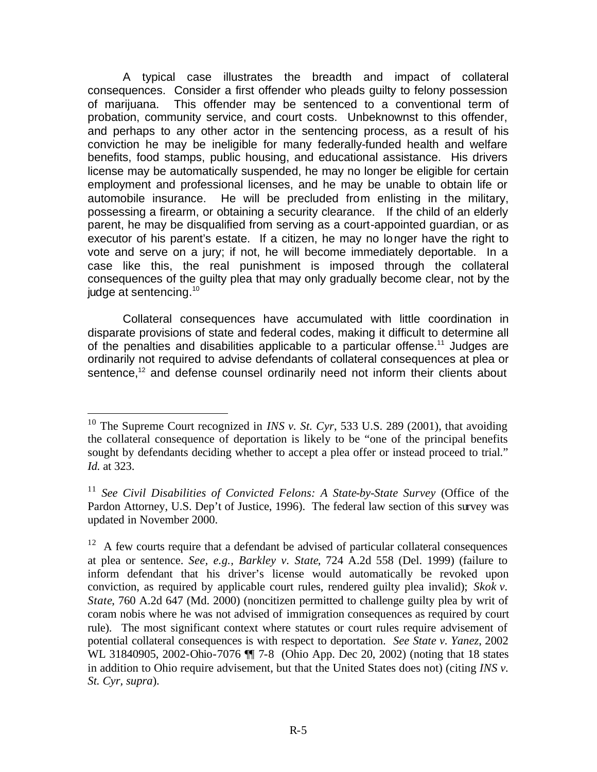A typical case illustrates the breadth and impact of collateral consequences. Consider a first offender who pleads guilty to felony possession of marijuana. This offender may be sentenced to a conventional term of probation, community service, and court costs. Unbeknownst to this offender, and perhaps to any other actor in the sentencing process, as a result of his conviction he may be ineligible for many federally-funded health and welfare benefits, food stamps, public housing, and educational assistance. His drivers license may be automatically suspended, he may no longer be eligible for certain employment and professional licenses, and he may be unable to obtain life or automobile insurance. He will be precluded from enlisting in the military, possessing a firearm, or obtaining a security clearance. If the child of an elderly parent, he may be disqualified from serving as a court-appointed guardian, or as executor of his parent's estate. If a citizen, he may no longer have the right to vote and serve on a jury; if not, he will become immediately deportable. In a case like this, the real punishment is imposed through the collateral consequences of the guilty plea that may only gradually become clear, not by the judge at sentencing. $10<sup>10</sup>$ 

Collateral consequences have accumulated with little coordination in disparate provisions of state and federal codes, making it difficult to determine all of the penalties and disabilities applicable to a particular offense.<sup>11</sup> Judges are ordinarily not required to advise defendants of collateral consequences at plea or sentence,<sup>12</sup> and defense counsel ordinarily need not inform their clients about

<sup>&</sup>lt;sup>10</sup> The Supreme Court recognized in *INS v. St. Cyr*, 533 U.S. 289 (2001), that avoiding the collateral consequence of deportation is likely to be "one of the principal benefits sought by defendants deciding whether to accept a plea offer or instead proceed to trial." *Id.* at 323.

<sup>11</sup> *See Civil Disabilities of Convicted Felons: A State-by-State Survey* (Office of the Pardon Attorney, U.S. Dep't of Justice, 1996). The federal law section of this survey was updated in November 2000.

<sup>&</sup>lt;sup>12</sup> A few courts require that a defendant be advised of particular collateral consequences at plea or sentence. *See, e.g., Barkley v. State*, 724 A.2d 558 (Del. 1999) (failure to inform defendant that his driver's license would automatically be revoked upon conviction, as required by applicable court rules, rendered guilty plea invalid); *Skok v. State*, 760 A.2d 647 (Md. 2000) (noncitizen permitted to challenge guilty plea by writ of coram nobis where he was not advised of immigration consequences as required by court rule). The most significant context where statutes or court rules require advisement of potential collateral consequences is with respect to deportation. *See State v. Yanez*, 2002 WL 31840905, 2002-Ohio-7076  $\blacksquare$  7-8 (Ohio App. Dec 20, 2002) (noting that 18 states in addition to Ohio require advisement, but that the United States does not) (citing *INS v. St. Cyr, supra*).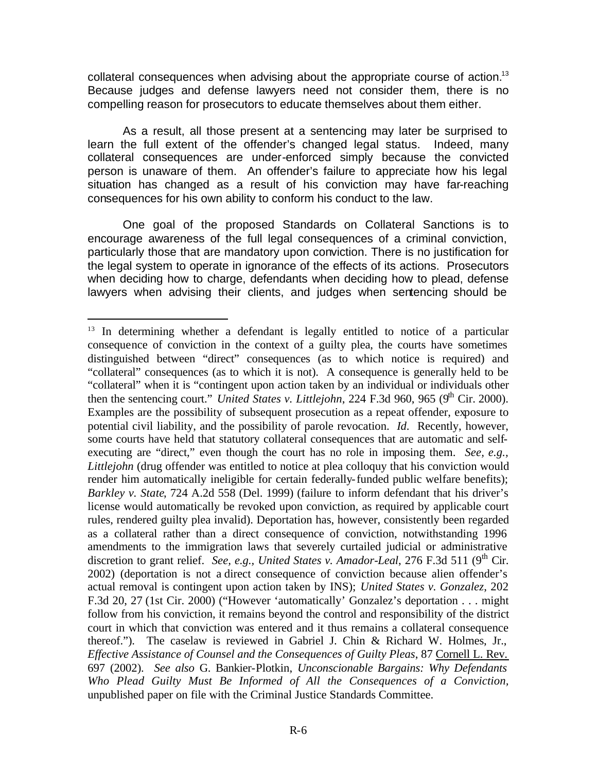collateral consequences when advising about the appropriate course of action.<sup>13</sup> Because judges and defense lawyers need not consider them, there is no compelling reason for prosecutors to educate themselves about them either.

As a result, all those present at a sentencing may later be surprised to learn the full extent of the offender's changed legal status. Indeed, many collateral consequences are under-enforced simply because the convicted person is unaware of them. An offender's failure to appreciate how his legal situation has changed as a result of his conviction may have far-reaching consequences for his own ability to conform his conduct to the law.

One goal of the proposed Standards on Collateral Sanctions is to encourage awareness of the full legal consequences of a criminal conviction, particularly those that are mandatory upon conviction. There is no justification for the legal system to operate in ignorance of the effects of its actions. Prosecutors when deciding how to charge, defendants when deciding how to plead, defense lawyers when advising their clients, and judges when sentencing should be

<sup>&</sup>lt;sup>13</sup> In determining whether a defendant is legally entitled to notice of a particular consequence of conviction in the context of a guilty plea, the courts have sometimes distinguished between "direct" consequences (as to which notice is required) and "collateral" consequences (as to which it is not). A consequence is generally held to be "collateral" when it is "contingent upon action taken by an individual or individuals other then the sentencing court." *United States v. Littlejohn*, 224 F.3d 960, 965 (9<sup>th</sup> Cir. 2000). Examples are the possibility of subsequent prosecution as a repeat offender, exposure to potential civil liability, and the possibility of parole revocation. *Id*. Recently, however, some courts have held that statutory collateral consequences that are automatic and selfexecuting are "direct," even though the court has no role in imposing them. *See, e.g., Littlejohn* (drug offender was entitled to notice at plea colloquy that his conviction would render him automatically ineligible for certain federally-funded public welfare benefits); *Barkley v. State*, 724 A.2d 558 (Del. 1999) (failure to inform defendant that his driver's license would automatically be revoked upon conviction, as required by applicable court rules, rendered guilty plea invalid). Deportation has, however, consistently been regarded as a collateral rather than a direct consequence of conviction, notwithstanding 1996 amendments to the immigration laws that severely curtailed judicial or administrative discretion to grant relief. *See, e.g., United States v. Amador-Leal*, 276 F.3d 511 (9<sup>th</sup> Cir. 2002) (deportation is not a direct consequence of conviction because alien offender's actual removal is contingent upon action taken by INS); *United States v. Gonzalez*, 202 F.3d 20, 27 (1st Cir. 2000) ("However 'automatically' Gonzalez's deportation . . . might follow from his conviction, it remains beyond the control and responsibility of the district court in which that conviction was entered and it thus remains a collateral consequence thereof."). The caselaw is reviewed in Gabriel J. Chin & Richard W. Holmes, Jr., *Effective Assistance of Counsel and the Consequences of Guilty Pleas*, 87 Cornell L. Rev. 697 (2002). *See also* G. Bankier-Plotkin, *Unconscionable Bargains: Why Defendants Who Plead Guilty Must Be Informed of All the Consequences of a Conviction,* unpublished paper on file with the Criminal Justice Standards Committee.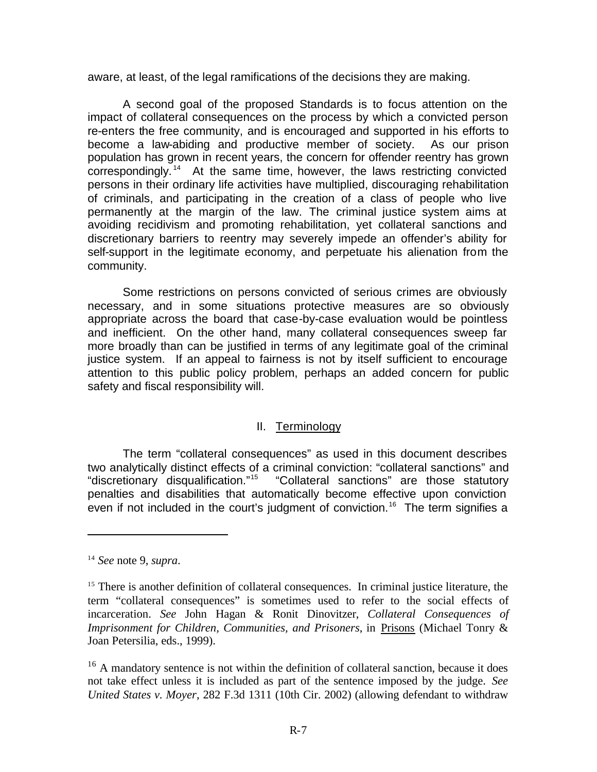aware, at least, of the legal ramifications of the decisions they are making.

A second goal of the proposed Standards is to focus attention on the impact of collateral consequences on the process by which a convicted person re-enters the free community, and is encouraged and supported in his efforts to become a law-abiding and productive member of society. As our prison population has grown in recent years, the concern for offender reentry has grown correspondingly.<sup>14</sup> At the same time, however, the laws restricting convicted persons in their ordinary life activities have multiplied, discouraging rehabilitation of criminals, and participating in the creation of a class of people who live permanently at the margin of the law. The criminal justice system aims at avoiding recidivism and promoting rehabilitation, yet collateral sanctions and discretionary barriers to reentry may severely impede an offender's ability for self-support in the legitimate economy, and perpetuate his alienation from the community.

Some restrictions on persons convicted of serious crimes are obviously necessary, and in some situations protective measures are so obviously appropriate across the board that case-by-case evaluation would be pointless and inefficient. On the other hand, many collateral consequences sweep far more broadly than can be justified in terms of any legitimate goal of the criminal justice system. If an appeal to fairness is not by itself sufficient to encourage attention to this public policy problem, perhaps an added concern for public safety and fiscal responsibility will.

### II. Terminology

The term "collateral consequences" as used in this document describes two analytically distinct effects of a criminal conviction: "collateral sanctions" and<br>"discretionary disqualification."<sup>15</sup> "Collateral sanctions" are those statutory "Collateral sanctions" are those statutory penalties and disabilities that automatically become effective upon conviction even if not included in the court's judgment of conviction.<sup>16</sup> The term signifies a

<sup>14</sup> *See* note 9, *supra*.

<sup>&</sup>lt;sup>15</sup> There is another definition of collateral consequences. In criminal justice literature, the term "collateral consequences" is sometimes used to refer to the social effects of incarceration. *See* John Hagan & Ronit Dinovitzer, *Collateral Consequences of Imprisonment for Children, Communities, and Prisoners*, in Prisons (Michael Tonry & Joan Petersilia, eds., 1999).

 $16$  A mandatory sentence is not within the definition of collateral sanction, because it does not take effect unless it is included as part of the sentence imposed by the judge. *See United States v. Moyer*, 282 F.3d 1311 (10th Cir. 2002) (allowing defendant to withdraw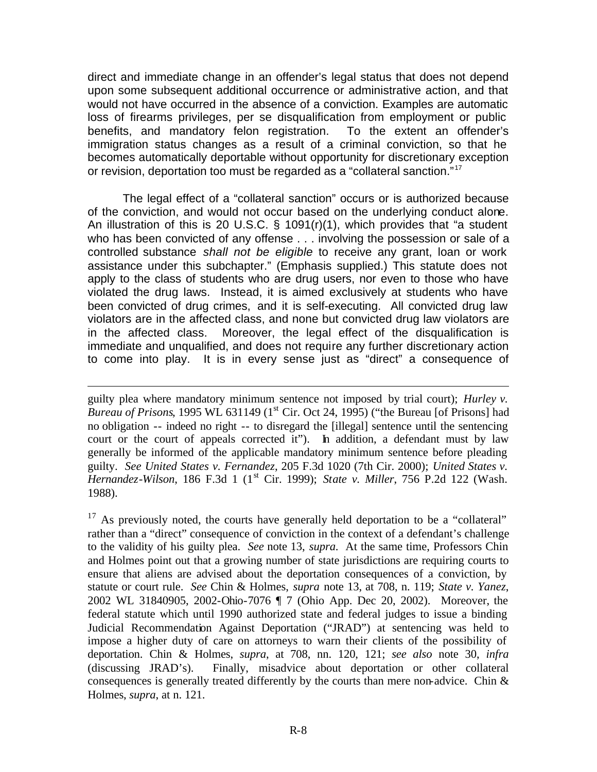direct and immediate change in an offender's legal status that does not depend upon some subsequent additional occurrence or administrative action, and that would not have occurred in the absence of a conviction. Examples are automatic loss of firearms privileges, per se disqualification from employment or public benefits, and mandatory felon registration. To the extent an offender's immigration status changes as a result of a criminal conviction, so that he becomes automatically deportable without opportunity for discretionary exception or revision, deportation too must be regarded as a "collateral sanction."<sup>17</sup>

The legal effect of a "collateral sanction" occurs or is authorized because of the conviction, and would not occur based on the underlying conduct alone. An illustration of this is 20 U.S.C. § 1091(r)(1), which provides that "a student who has been convicted of any offense . . . involving the possession or sale of a controlled substance *shall not be eligible* to receive any grant, loan or work assistance under this subchapter." (Emphasis supplied.) This statute does not apply to the class of students who are drug users, nor even to those who have violated the drug laws. Instead, it is aimed exclusively at students who have been convicted of drug crimes, and it is self-executing. All convicted drug law violators are in the affected class, and none but convicted drug law violators are in the affected class. Moreover, the legal effect of the disqualification is immediate and unqualified, and does not require any further discretionary action to come into play. It is in every sense just as "direct" a consequence of

guilty plea where mandatory minimum sentence not imposed by trial court); *Hurley v. Bureau of Prisons*, 1995 WL 631149 (1<sup>st</sup> Cir. Oct 24, 1995) ("the Bureau [of Prisons] had no obligation -- indeed no right -- to disregard the [illegal] sentence until the sentencing court or the court of appeals corrected it"). In addition, a defendant must by law generally be informed of the applicable mandatory minimum sentence before pleading guilty. *See United States v. Fernandez*, 205 F.3d 1020 (7th Cir. 2000); *United States v. Hernandez-Wilson*, 186 F.3d 1 (1<sup>st</sup> Cir. 1999); *State v. Miller*, 756 P.2d 122 (Wash. 1988).

 $\overline{a}$ 

 $17$  As previously noted, the courts have generally held deportation to be a "collateral" rather than a "direct" consequence of conviction in the context of a defendant's challenge to the validity of his guilty plea. *See* note 13, *supra*. At the same time, Professors Chin and Holmes point out that a growing number of state jurisdictions are requiring courts to ensure that aliens are advised about the deportation consequences of a conviction, by statute or court rule. *See* Chin & Holmes, *supra* note 13, at 708, n. 119; *State v. Yanez*, 2002 WL 31840905, 2002-Ohio-7076 ¶ 7 (Ohio App. Dec 20, 2002). Moreover, the federal statute which until 1990 authorized state and federal judges to issue a binding Judicial Recommendation Against Deportation ("JRAD") at sentencing was held to impose a higher duty of care on attorneys to warn their clients of the possibility of deportation. Chin & Holmes, *supra*, at 708, nn. 120, 121; *see also* note 30, *infra* (discussing JRAD's). Finally, misadvice about deportation or other collateral consequences is generally treated differently by the courts than mere non-advice. Chin & Holmes, *supra*, at n. 121.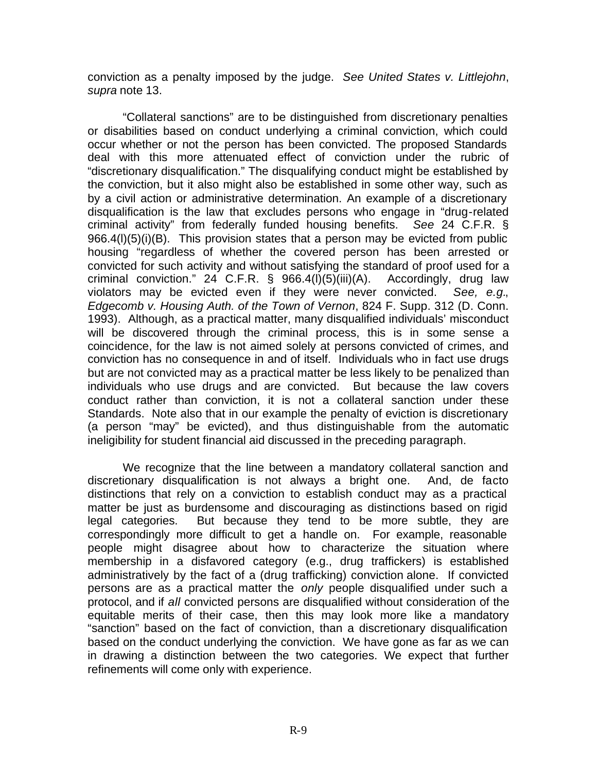conviction as a penalty imposed by the judge. *See United States v. Littlejohn*, *supra* note 13.

"Collateral sanctions" are to be distinguished from discretionary penalties or disabilities based on conduct underlying a criminal conviction, which could occur whether or not the person has been convicted. The proposed Standards deal with this more attenuated effect of conviction under the rubric of "discretionary disqualification." The disqualifying conduct might be established by the conviction, but it also might also be established in some other way, such as by a civil action or administrative determination. An example of a discretionary disqualification is the law that excludes persons who engage in "drug-related criminal activity" from federally funded housing benefits. *See* 24 C.F.R. § 966.4(l)(5)(i)(B). This provision states that a person may be evicted from public housing "regardless of whether the covered person has been arrested or convicted for such activity and without satisfying the standard of proof used for a criminal conviction." 24 C.F.R. § 966.4(l)(5)(iii)(A). Accordingly, drug law violators may be evicted even if they were never convicted. *See, e.g.*, *Edgecomb v. Housing Auth. of the Town of Vernon*, 824 F. Supp. 312 (D. Conn. 1993). Although, as a practical matter, many disqualified individuals' misconduct will be discovered through the criminal process, this is in some sense a coincidence, for the law is not aimed solely at persons convicted of crimes, and conviction has no consequence in and of itself. Individuals who in fact use drugs but are not convicted may as a practical matter be less likely to be penalized than individuals who use drugs and are convicted. But because the law covers conduct rather than conviction, it is not a collateral sanction under these Standards. Note also that in our example the penalty of eviction is discretionary (a person "may" be evicted), and thus distinguishable from the automatic ineligibility for student financial aid discussed in the preceding paragraph.

We recognize that the line between a mandatory collateral sanction and discretionary disqualification is not always a bright one. And, de facto distinctions that rely on a conviction to establish conduct may as a practical matter be just as burdensome and discouraging as distinctions based on rigid legal categories. But because they tend to be more subtle, they are correspondingly more difficult to get a handle on. For example, reasonable people might disagree about how to characterize the situation where membership in a disfavored category (e.g., drug traffickers) is established administratively by the fact of a (drug trafficking) conviction alone. If convicted persons are as a practical matter the *only* people disqualified under such a protocol, and if *all* convicted persons are disqualified without consideration of the equitable merits of their case, then this may look more like a mandatory "sanction" based on the fact of conviction, than a discretionary disqualification based on the conduct underlying the conviction. We have gone as far as we can in drawing a distinction between the two categories. We expect that further refinements will come only with experience.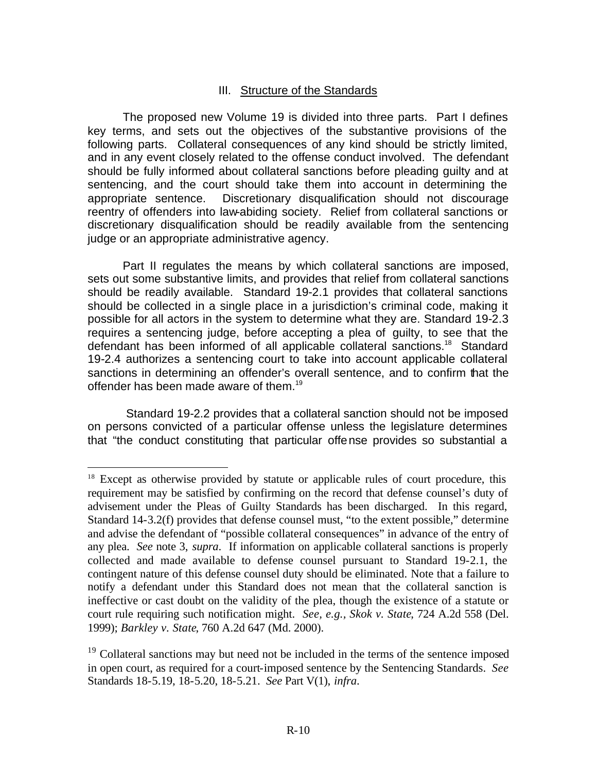#### III. Structure of the Standards

The proposed new Volume 19 is divided into three parts. Part I defines key terms, and sets out the objectives of the substantive provisions of the following parts. Collateral consequences of any kind should be strictly limited, and in any event closely related to the offense conduct involved. The defendant should be fully informed about collateral sanctions before pleading guilty and at sentencing, and the court should take them into account in determining the appropriate sentence. Discretionary disqualification should not discourage reentry of offenders into law-abiding society. Relief from collateral sanctions or discretionary disqualification should be readily available from the sentencing judge or an appropriate administrative agency.

Part II regulates the means by which collateral sanctions are imposed, sets out some substantive limits, and provides that relief from collateral sanctions should be readily available. Standard 19-2.1 provides that collateral sanctions should be collected in a single place in a jurisdiction's criminal code, making it possible for all actors in the system to determine what they are. Standard 19-2.3 requires a sentencing judge, before accepting a plea of guilty, to see that the defendant has been informed of all applicable collateral sanctions.<sup>18</sup> Standard 19-2.4 authorizes a sentencing court to take into account applicable collateral sanctions in determining an offender's overall sentence, and to confirm that the offender has been made aware of them.<sup>19</sup>

 Standard 19-2.2 provides that a collateral sanction should not be imposed on persons convicted of a particular offense unless the legislature determines that "the conduct constituting that particular offense provides so substantial a

<sup>&</sup>lt;sup>18</sup> Except as otherwise provided by statute or applicable rules of court procedure, this requirement may be satisfied by confirming on the record that defense counsel's duty of advisement under the Pleas of Guilty Standards has been discharged. In this regard, Standard 14-3.2(f) provides that defense counsel must, "to the extent possible," determine and advise the defendant of "possible collateral consequences" in advance of the entry of any plea. *See* note 3, *supra*. If information on applicable collateral sanctions is properly collected and made available to defense counsel pursuant to Standard 19-2.1, the contingent nature of this defense counsel duty should be eliminated. Note that a failure to notify a defendant under this Standard does not mean that the collateral sanction is ineffective or cast doubt on the validity of the plea, though the existence of a statute or court rule requiring such notification might. *See, e.g., Skok v. State*, 724 A.2d 558 (Del. 1999); *Barkley v. State*, 760 A.2d 647 (Md. 2000).

<sup>&</sup>lt;sup>19</sup> Collateral sanctions may but need not be included in the terms of the sentence imposed in open court, as required for a court-imposed sentence by the Sentencing Standards. *See*  Standards 18-5.19, 18-5.20, 18-5.21. *See* Part V(1), *infra*.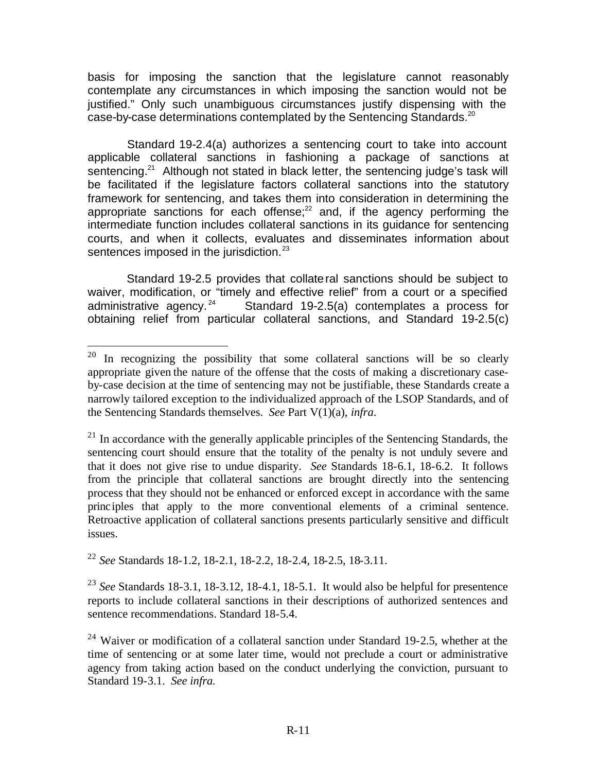basis for imposing the sanction that the legislature cannot reasonably contemplate any circumstances in which imposing the sanction would not be justified." Only such unambiguous circumstances justify dispensing with the case-by-case determinations contemplated by the Sentencing Standards.<sup>20</sup>

 Standard 19-2.4(a) authorizes a sentencing court to take into account applicable collateral sanctions in fashioning a package of sanctions at sentencing.<sup>21</sup> Although not stated in black letter, the sentencing judge's task will be facilitated if the legislature factors collateral sanctions into the statutory framework for sentencing, and takes them into consideration in determining the appropriate sanctions for each offense; $^{22}$  and, if the agency performing the intermediate function includes collateral sanctions in its guidance for sentencing courts, and when it collects, evaluates and disseminates information about sentences imposed in the jurisdiction.<sup>23</sup>

 Standard 19-2.5 provides that collateral sanctions should be subject to waiver, modification, or "timely and effective relief" from a court or a specified administrative agency.<sup>24</sup> Standard 19-2.5(a) contemplates a process for Standard 19-2.5(a) contemplates a process for obtaining relief from particular collateral sanctions, and Standard 19-2.5(c)

 $^{21}$  In accordance with the generally applicable principles of the Sentencing Standards, the sentencing court should ensure that the totality of the penalty is not unduly severe and that it does not give rise to undue disparity. *See* Standards 18-6.1, 18-6.2. It follows from the principle that collateral sanctions are brought directly into the sentencing process that they should not be enhanced or enforced except in accordance with the same principles that apply to the more conventional elements of a criminal sentence. Retroactive application of collateral sanctions presents particularly sensitive and difficult issues.

<sup>22</sup> *See* Standards 18-1.2, 18-2.1, 18-2.2, 18-2.4, 18-2.5, 18-3.11.

 $\overline{a}$ 

<sup>23</sup> *See* Standards 18-3.1, 18-3.12, 18-4.1, 18-5.1. It would also be helpful for presentence reports to include collateral sanctions in their descriptions of authorized sentences and sentence recommendations. Standard 18-5.4.

 $24$  Waiver or modification of a collateral sanction under Standard 19-2.5, whether at the time of sentencing or at some later time, would not preclude a court or administrative agency from taking action based on the conduct underlying the conviction, pursuant to Standard 19-3.1. *See infra.* 

 $20$  In recognizing the possibility that some collateral sanctions will be so clearly appropriate given the nature of the offense that the costs of making a discretionary caseby-case decision at the time of sentencing may not be justifiable, these Standards create a narrowly tailored exception to the individualized approach of the LSOP Standards, and of the Sentencing Standards themselves. *See* Part V(1)(a), *infra*.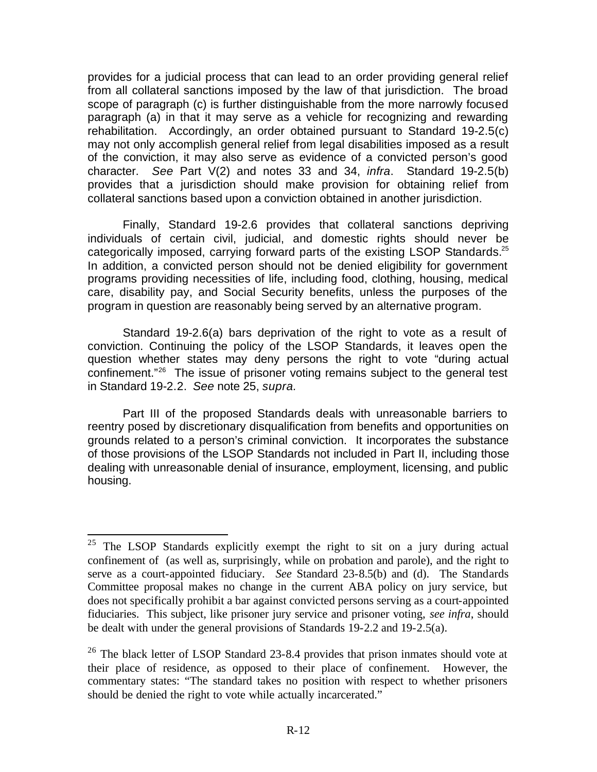provides for a judicial process that can lead to an order providing general relief from all collateral sanctions imposed by the law of that jurisdiction. The broad scope of paragraph (c) is further distinguishable from the more narrowly focused paragraph (a) in that it may serve as a vehicle for recognizing and rewarding rehabilitation. Accordingly, an order obtained pursuant to Standard 19-2.5(c) may not only accomplish general relief from legal disabilities imposed as a result of the conviction, it may also serve as evidence of a convicted person's good character. *See* Part V(2) and notes 33 and 34, *infra*. Standard 19-2.5(b) provides that a jurisdiction should make provision for obtaining relief from collateral sanctions based upon a conviction obtained in another jurisdiction.

Finally, Standard 19-2.6 provides that collateral sanctions depriving individuals of certain civil, judicial, and domestic rights should never be categorically imposed, carrying forward parts of the existing LSOP Standards.<sup>25</sup> In addition, a convicted person should not be denied eligibility for government programs providing necessities of life, including food, clothing, housing, medical care, disability pay, and Social Security benefits, unless the purposes of the program in question are reasonably being served by an alternative program.

Standard 19-2.6(a) bars deprivation of the right to vote as a result of conviction. Continuing the policy of the LSOP Standards, it leaves open the question whether states may deny persons the right to vote "during actual confinement."<sup>26</sup> The issue of prisoner voting remains subject to the general test in Standard 19-2.2. *See* note 25, *supra.*

Part III of the proposed Standards deals with unreasonable barriers to reentry posed by discretionary disqualification from benefits and opportunities on grounds related to a person's criminal conviction. It incorporates the substance of those provisions of the LSOP Standards not included in Part II, including those dealing with unreasonable denial of insurance, employment, licensing, and public housing.

<sup>&</sup>lt;sup>25</sup> The LSOP Standards explicitly exempt the right to sit on a jury during actual confinement of (as well as, surprisingly, while on probation and parole), and the right to serve as a court-appointed fiduciary. *See* Standard 23-8.5(b) and (d). The Standards Committee proposal makes no change in the current ABA policy on jury service, but does not specifically prohibit a bar against convicted persons serving as a court-appointed fiduciaries. This subject, like prisoner jury service and prisoner voting, *see infra*, should be dealt with under the general provisions of Standards 19-2.2 and 19-2.5(a).

<sup>&</sup>lt;sup>26</sup> The black letter of LSOP Standard 23-8.4 provides that prison inmates should vote at their place of residence, as opposed to their place of confinement. However, the commentary states: "The standard takes no position with respect to whether prisoners should be denied the right to vote while actually incarcerated."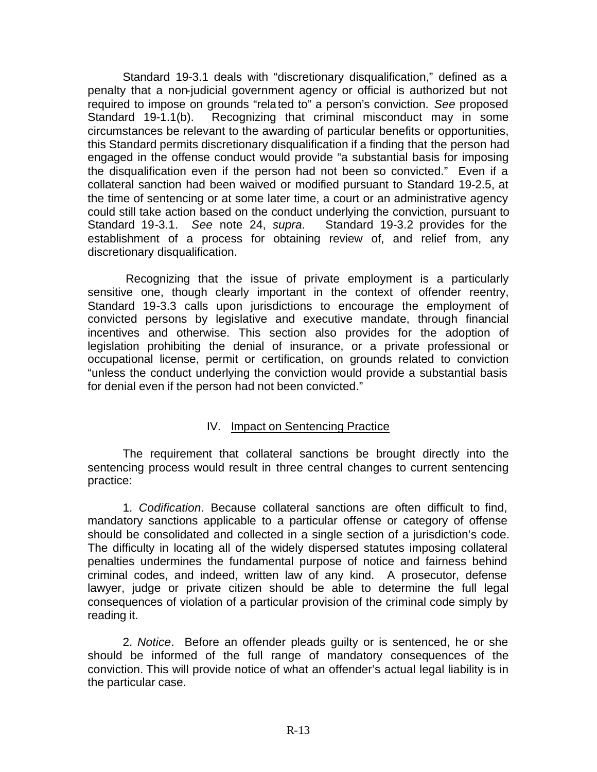Standard 19-3.1 deals with "discretionary disqualification," defined as a penalty that a non-judicial government agency or official is authorized but not required to impose on grounds "related to" a person's conviction. *See* proposed Standard 19-1.1(b). Recognizing that criminal misconduct may in some circumstances be relevant to the awarding of particular benefits or opportunities, this Standard permits discretionary disqualification if a finding that the person had engaged in the offense conduct would provide "a substantial basis for imposing the disqualification even if the person had not been so convicted." Even if a collateral sanction had been waived or modified pursuant to Standard 19-2.5, at the time of sentencing or at some later time, a court or an administrative agency could still take action based on the conduct underlying the conviction, pursuant to Standard 19-3.1. *See* note 24, *supra*. Standard 19-3.2 provides for the establishment of a process for obtaining review of, and relief from, any discretionary disqualification.

 Recognizing that the issue of private employment is a particularly sensitive one, though clearly important in the context of offender reentry, Standard 19-3.3 calls upon jurisdictions to encourage the employment of convicted persons by legislative and executive mandate, through financial incentives and otherwise. This section also provides for the adoption of legislation prohibiting the denial of insurance, or a private professional or occupational license, permit or certification, on grounds related to conviction "unless the conduct underlying the conviction would provide a substantial basis for denial even if the person had not been convicted."

## IV. Impact on Sentencing Practice

The requirement that collateral sanctions be brought directly into the sentencing process would result in three central changes to current sentencing practice:

1. *Codification*. Because collateral sanctions are often difficult to find, mandatory sanctions applicable to a particular offense or category of offense should be consolidated and collected in a single section of a jurisdiction's code. The difficulty in locating all of the widely dispersed statutes imposing collateral penalties undermines the fundamental purpose of notice and fairness behind criminal codes, and indeed, written law of any kind. A prosecutor, defense lawyer, judge or private citizen should be able to determine the full legal consequences of violation of a particular provision of the criminal code simply by reading it.

2. *Notice*. Before an offender pleads guilty or is sentenced, he or she should be informed of the full range of mandatory consequences of the conviction. This will provide notice of what an offender's actual legal liability is in the particular case.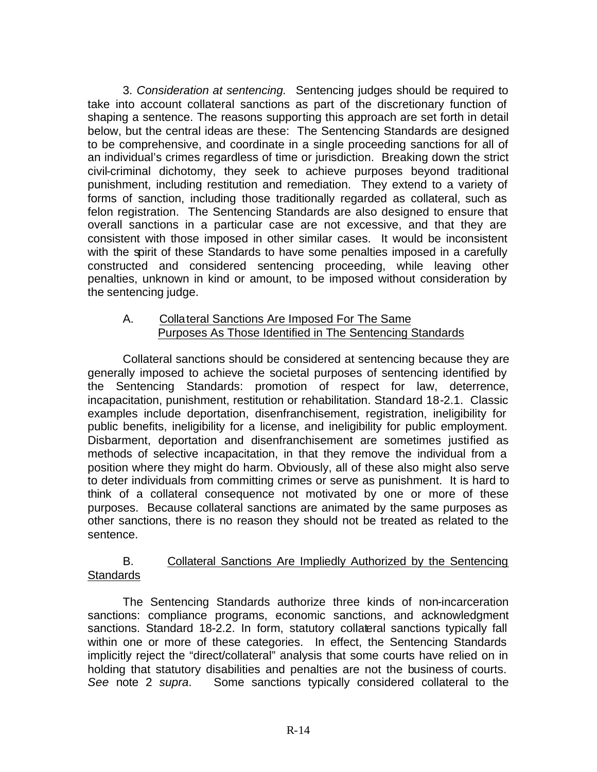3. *Consideration at sentencing.* Sentencing judges should be required to take into account collateral sanctions as part of the discretionary function of shaping a sentence. The reasons supporting this approach are set forth in detail below, but the central ideas are these: The Sentencing Standards are designed to be comprehensive, and coordinate in a single proceeding sanctions for all of an individual's crimes regardless of time or jurisdiction. Breaking down the strict civil-criminal dichotomy, they seek to achieve purposes beyond traditional punishment, including restitution and remediation. They extend to a variety of forms of sanction, including those traditionally regarded as collateral, such as felon registration. The Sentencing Standards are also designed to ensure that overall sanctions in a particular case are not excessive, and that they are consistent with those imposed in other similar cases. It would be inconsistent with the spirit of these Standards to have some penalties imposed in a carefully constructed and considered sentencing proceeding, while leaving other penalties, unknown in kind or amount, to be imposed without consideration by the sentencing judge.

## A. Collateral Sanctions Are Imposed For The Same Purposes As Those Identified in The Sentencing Standards

Collateral sanctions should be considered at sentencing because they are generally imposed to achieve the societal purposes of sentencing identified by the Sentencing Standards: promotion of respect for law, deterrence, incapacitation, punishment, restitution or rehabilitation. Standard 18-2.1. Classic examples include deportation, disenfranchisement, registration, ineligibility for public benefits, ineligibility for a license, and ineligibility for public employment. Disbarment, deportation and disenfranchisement are sometimes justified as methods of selective incapacitation, in that they remove the individual from a position where they might do harm. Obviously, all of these also might also serve to deter individuals from committing crimes or serve as punishment. It is hard to think of a collateral consequence not motivated by one or more of these purposes. Because collateral sanctions are animated by the same purposes as other sanctions, there is no reason they should not be treated as related to the sentence.

### B. Collateral Sanctions Are Impliedly Authorized by the Sentencing **Standards**

The Sentencing Standards authorize three kinds of non-incarceration sanctions: compliance programs, economic sanctions, and acknowledgment sanctions. Standard 18-2.2. In form, statutory collateral sanctions typically fall within one or more of these categories. In effect, the Sentencing Standards implicitly reject the "direct/collateral" analysis that some courts have relied on in holding that statutory disabilities and penalties are not the business of courts. *See* note 2 *supra*. Some sanctions typically considered collateral to the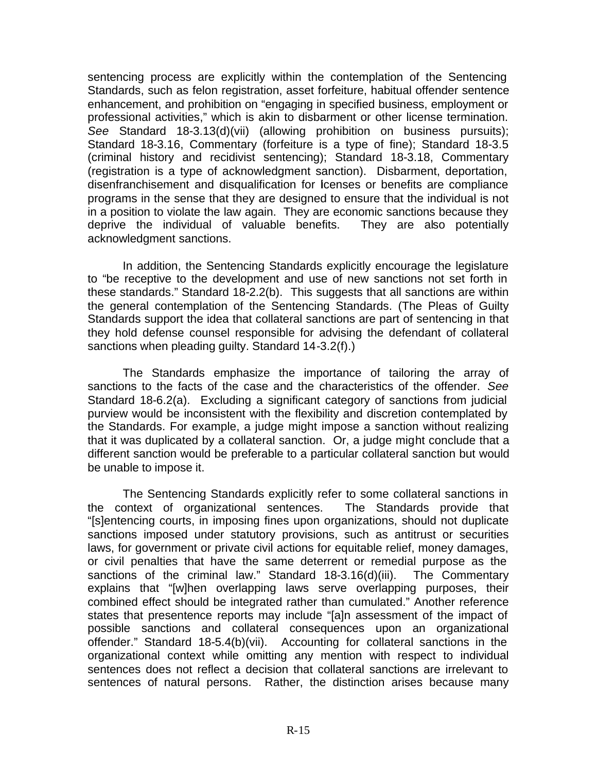sentencing process are explicitly within the contemplation of the Sentencing Standards, such as felon registration, asset forfeiture, habitual offender sentence enhancement, and prohibition on "engaging in specified business, employment or professional activities," which is akin to disbarment or other license termination. *See* Standard 18-3.13(d)(vii) (allowing prohibition on business pursuits); Standard 18-3.16, Commentary (forfeiture is a type of fine); Standard 18-3.5 (criminal history and recidivist sentencing); Standard 18-3.18, Commentary (registration is a type of acknowledgment sanction). Disbarment, deportation, disenfranchisement and disqualification for Icenses or benefits are compliance programs in the sense that they are designed to ensure that the individual is not in a position to violate the law again. They are economic sanctions because they deprive the individual of valuable benefits. They are also potentially acknowledgment sanctions.

In addition, the Sentencing Standards explicitly encourage the legislature to "be receptive to the development and use of new sanctions not set forth in these standards." Standard 18-2.2(b). This suggests that all sanctions are within the general contemplation of the Sentencing Standards. (The Pleas of Guilty Standards support the idea that collateral sanctions are part of sentencing in that they hold defense counsel responsible for advising the defendant of collateral sanctions when pleading guilty. Standard 14-3.2(f).)

The Standards emphasize the importance of tailoring the array of sanctions to the facts of the case and the characteristics of the offender. *See*  Standard 18-6.2(a). Excluding a significant category of sanctions from judicial purview would be inconsistent with the flexibility and discretion contemplated by the Standards. For example, a judge might impose a sanction without realizing that it was duplicated by a collateral sanction. Or, a judge might conclude that a different sanction would be preferable to a particular collateral sanction but would be unable to impose it.

The Sentencing Standards explicitly refer to some collateral sanctions in the context of organizational sentences. The Standards provide that "[s]entencing courts, in imposing fines upon organizations, should not duplicate sanctions imposed under statutory provisions, such as antitrust or securities laws, for government or private civil actions for equitable relief, money damages, or civil penalties that have the same deterrent or remedial purpose as the sanctions of the criminal law." Standard 18-3.16(d)(iii). The Commentary explains that "[w]hen overlapping laws serve overlapping purposes, their combined effect should be integrated rather than cumulated." Another reference states that presentence reports may include "[a]n assessment of the impact of possible sanctions and collateral consequences upon an organizational offender." Standard 18-5.4(b)(vii). Accounting for collateral sanctions in the organizational context while omitting any mention with respect to individual sentences does not reflect a decision that collateral sanctions are irrelevant to sentences of natural persons. Rather, the distinction arises because many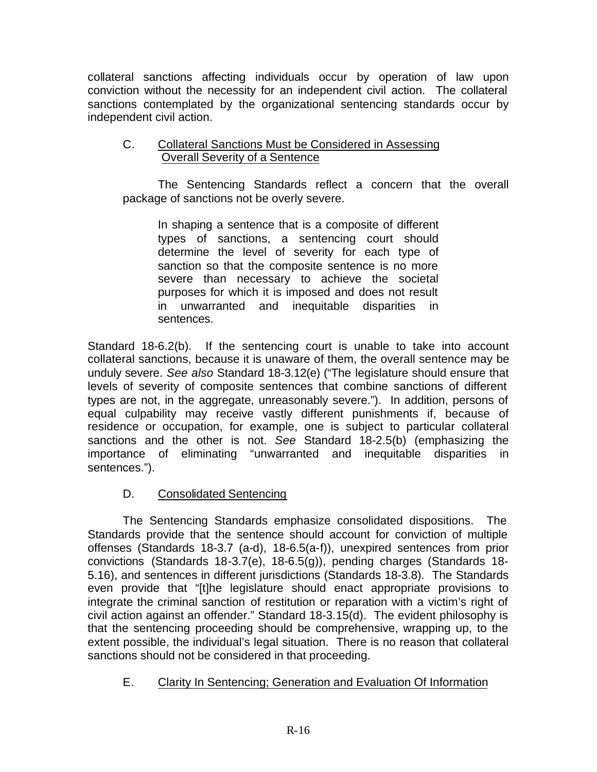collateral sanctions affecting individuals occur by operation of law upon conviction without the necessity for an independent civil action. The collateral sanctions contemplated by the organizational sentencing standards occur by independent civil action.

## C. Collateral Sanctions Must be Considered in Assessing Overall Severity of a Sentence

The Sentencing Standards reflect a concern that the overall package of sanctions not be overly severe.

In shaping a sentence that is a composite of different types of sanctions, a sentencing court should determine the level of severity for each type of sanction so that the composite sentence is no more severe than necessary to achieve the societal purposes for which it is imposed and does not result in unwarranted and inequitable disparities in sentences.

Standard 18-6.2(b). If the sentencing court is unable to take into account collateral sanctions, because it is unaware of them, the overall sentence may be unduly severe. *See also* Standard 18-3.12(e) ("The legislature should ensure that levels of severity of composite sentences that combine sanctions of different types are not, in the aggregate, unreasonably severe."). In addition, persons of equal culpability may receive vastly different punishments if, because of residence or occupation, for example, one is subject to particular collateral sanctions and the other is not. *See* Standard 18-2.5(b) (emphasizing the importance of eliminating "unwarranted and inequitable disparities in sentences.").

# D. Consolidated Sentencing

The Sentencing Standards emphasize consolidated dispositions. The Standards provide that the sentence should account for conviction of multiple offenses (Standards 18-3.7 (a-d), 18-6.5(a-f)), unexpired sentences from prior convictions (Standards 18-3.7(e), 18-6.5(g)), pending charges (Standards 18- 5.16), and sentences in different jurisdictions (Standards 18-3.8). The Standards even provide that "[t]he legislature should enact appropriate provisions to integrate the criminal sanction of restitution or reparation with a victim's right of civil action against an offender." Standard 18-3.15(d). The evident philosophy is that the sentencing proceeding should be comprehensive, wrapping up, to the extent possible, the individual's legal situation. There is no reason that collateral sanctions should not be considered in that proceeding.

# E. Clarity In Sentencing; Generation and Evaluation Of Information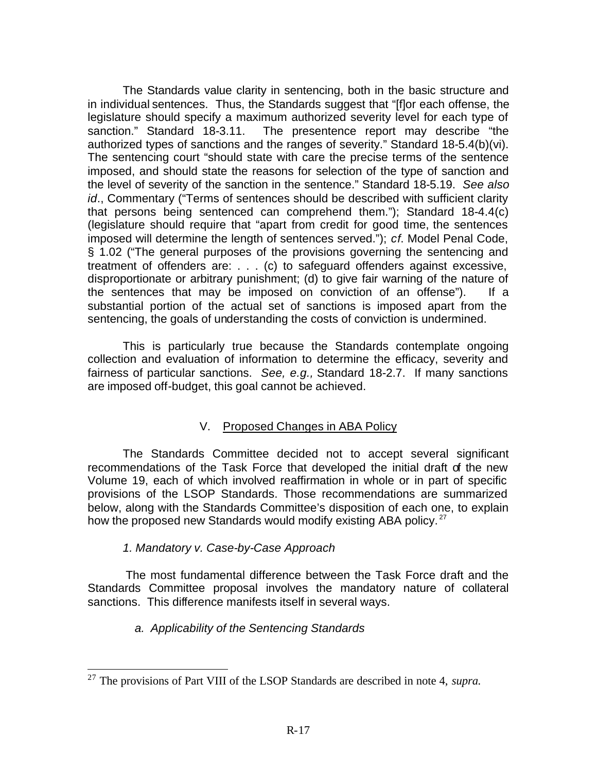The Standards value clarity in sentencing, both in the basic structure and in individual sentences. Thus, the Standards suggest that "[f]or each offense, the legislature should specify a maximum authorized severity level for each type of sanction." Standard 18-3.11. The presentence report may describe "the authorized types of sanctions and the ranges of severity." Standard 18-5.4(b)(vi). The sentencing court "should state with care the precise terms of the sentence imposed, and should state the reasons for selection of the type of sanction and the level of severity of the sanction in the sentence." Standard 18-5.19. *See also id*., Commentary ("Terms of sentences should be described with sufficient clarity that persons being sentenced can comprehend them."); Standard 18-4.4(c) (legislature should require that "apart from credit for good time, the sentences imposed will determine the length of sentences served."); *cf*. Model Penal Code, § 1.02 ("The general purposes of the provisions governing the sentencing and treatment of offenders are: . . . (c) to safeguard offenders against excessive, disproportionate or arbitrary punishment; (d) to give fair warning of the nature of the sentences that may be imposed on conviction of an offense"). If a substantial portion of the actual set of sanctions is imposed apart from the sentencing, the goals of understanding the costs of conviction is undermined.

This is particularly true because the Standards contemplate ongoing collection and evaluation of information to determine the efficacy, severity and fairness of particular sanctions. *See, e.g.,* Standard 18-2.7. If many sanctions are imposed off-budget, this goal cannot be achieved.

## V. Proposed Changes in ABA Policy

The Standards Committee decided not to accept several significant recommendations of the Task Force that developed the initial draft of the new Volume 19, each of which involved reaffirmation in whole or in part of specific provisions of the LSOP Standards. Those recommendations are summarized below, along with the Standards Committee's disposition of each one, to explain how the proposed new Standards would modify existing ABA policy.<sup>27</sup>

### *1. Mandatory v. Case-by-Case Approach*

The most fundamental difference between the Task Force draft and the Standards Committee proposal involves the mandatory nature of collateral sanctions. This difference manifests itself in several ways.

### *a. Applicability of the Sentencing Standards*

 $\overline{a}$ <sup>27</sup> The provisions of Part VIII of the LSOP Standards are described in note 4, *supra.*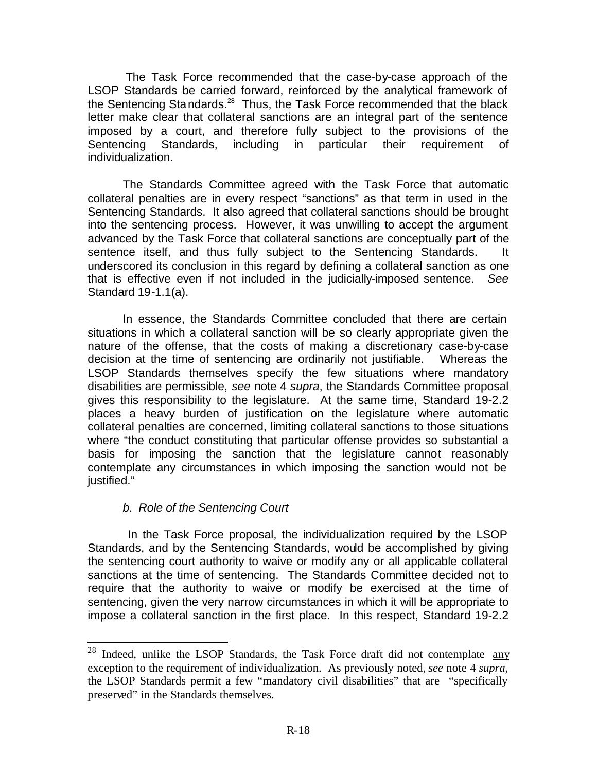The Task Force recommended that the case-by-case approach of the LSOP Standards be carried forward, reinforced by the analytical framework of the Sentencing Standards.<sup>28</sup> Thus, the Task Force recommended that the black letter make clear that collateral sanctions are an integral part of the sentence imposed by a court, and therefore fully subject to the provisions of the Sentencing Standards, including in particular their requirement of individualization.

The Standards Committee agreed with the Task Force that automatic collateral penalties are in every respect "sanctions" as that term in used in the Sentencing Standards. It also agreed that collateral sanctions should be brought into the sentencing process. However, it was unwilling to accept the argument advanced by the Task Force that collateral sanctions are conceptually part of the sentence itself, and thus fully subject to the Sentencing Standards. It underscored its conclusion in this regard by defining a collateral sanction as one that is effective even if not included in the judicially-imposed sentence. *See* Standard 19-1.1(a).

In essence, the Standards Committee concluded that there are certain situations in which a collateral sanction will be so clearly appropriate given the nature of the offense, that the costs of making a discretionary case-by-case decision at the time of sentencing are ordinarily not justifiable. Whereas the LSOP Standards themselves specify the few situations where mandatory disabilities are permissible, *see* note 4 *supra*, the Standards Committee proposal gives this responsibility to the legislature. At the same time, Standard 19-2.2 places a heavy burden of justification on the legislature where automatic collateral penalties are concerned, limiting collateral sanctions to those situations where "the conduct constituting that particular offense provides so substantial a basis for imposing the sanction that the legislature cannot reasonably contemplate any circumstances in which imposing the sanction would not be iustified."

### *b. Role of the Sentencing Court*

 $\overline{a}$ 

 In the Task Force proposal, the individualization required by the LSOP Standards, and by the Sentencing Standards, would be accomplished by giving the sentencing court authority to waive or modify any or all applicable collateral sanctions at the time of sentencing. The Standards Committee decided not to require that the authority to waive or modify be exercised at the time of sentencing, given the very narrow circumstances in which it will be appropriate to impose a collateral sanction in the first place. In this respect, Standard 19-2.2

 $28$  Indeed, unlike the LSOP Standards, the Task Force draft did not contemplate  $\frac{any}{long}$ exception to the requirement of individualization. As previously noted, *see* note 4 *supra*, the LSOP Standards permit a few "mandatory civil disabilities" that are "specifically preserved" in the Standards themselves.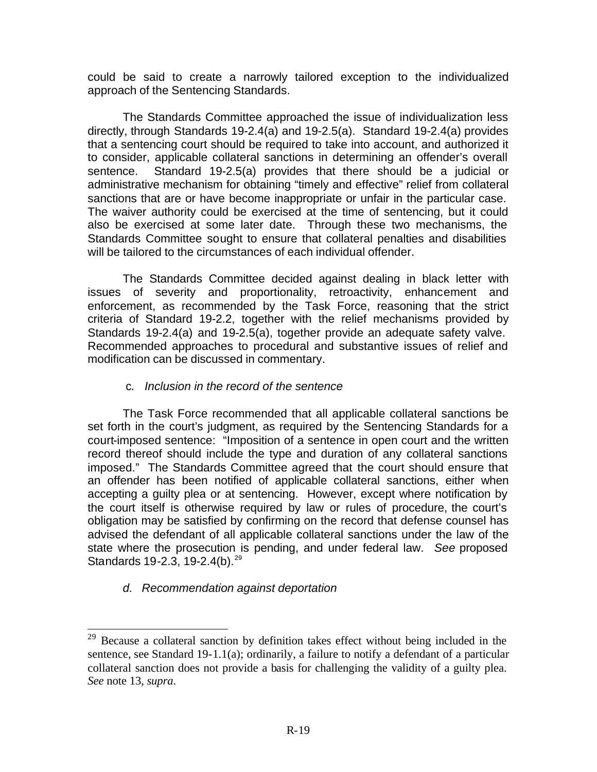could be said to create a narrowly tailored exception to the individualized approach of the Sentencing Standards.

The Standards Committee approached the issue of individualization less directly, through Standards 19-2.4(a) and 19-2.5(a). Standard 19-2.4(a) provides that a sentencing court should be required to take into account, and authorized it to consider, applicable collateral sanctions in determining an offender's overall sentence. Standard 19-2.5(a) provides that there should be a judicial or administrative mechanism for obtaining "timely and effective" relief from collateral sanctions that are or have become inappropriate or unfair in the particular case. The waiver authority could be exercised at the time of sentencing, but it could also be exercised at some later date. Through these two mechanisms, the Standards Committee sought to ensure that collateral penalties and disabilities will be tailored to the circumstances of each individual offender.

The Standards Committee decided against dealing in black letter with issues of severity and proportionality, retroactivity, enhancement and enforcement, as recommended by the Task Force, reasoning that the strict criteria of Standard 19-2.2, together with the relief mechanisms provided by Standards 19-2.4(a) and 19-2.5(a), together provide an adequate safety valve. Recommended approaches to procedural and substantive issues of relief and modification can be discussed in commentary.

### c*. Inclusion in the record of the sentence*

The Task Force recommended that all applicable collateral sanctions be set forth in the court's judgment, as required by the Sentencing Standards for a court-imposed sentence: "Imposition of a sentence in open court and the written record thereof should include the type and duration of any collateral sanctions imposed." The Standards Committee agreed that the court should ensure that an offender has been notified of applicable collateral sanctions, either when accepting a guilty plea or at sentencing. However, except where notification by the court itself is otherwise required by law or rules of procedure, the court's obligation may be satisfied by confirming on the record that defense counsel has advised the defendant of all applicable collateral sanctions under the law of the state where the prosecution is pending, and under federal law. *See* proposed Standards 19-2.3, 19-2.4(b).  $29$ 

## *d. Recommendation against deportation*

 $29$  Because a collateral sanction by definition takes effect without being included in the sentence, see Standard 19-1.1(a); ordinarily, a failure to notify a defendant of a particular collateral sanction does not provide a basis for challenging the validity of a guilty plea. *See* note 13, *supra*.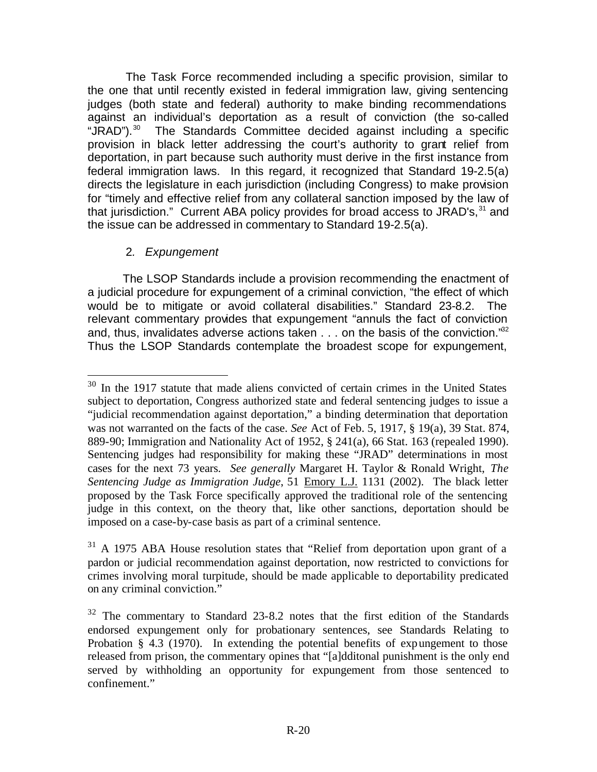The Task Force recommended including a specific provision, similar to the one that until recently existed in federal immigration law, giving sentencing judges (both state and federal) authority to make binding recommendations against an individual's deportation as a result of conviction (the so-called "JRAD").<sup>30</sup> The Standards Committee decided against including a specific provision in black letter addressing the court's authority to grant relief from deportation, in part because such authority must derive in the first instance from federal immigration laws. In this regard, it recognized that Standard 19-2.5(a) directs the legislature in each jurisdiction (including Congress) to make provision for "timely and effective relief from any collateral sanction imposed by the law of that jurisdiction." Current ABA policy provides for broad access to JRAD's,  $31$  and the issue can be addressed in commentary to Standard 19-2.5(a).

## 2*. Expungement*

 $\overline{a}$ 

The LSOP Standards include a provision recommending the enactment of a judicial procedure for expungement of a criminal conviction, "the effect of which would be to mitigate or avoid collateral disabilities." Standard 23-8.2. The relevant commentary provides that expungement "annuls the fact of conviction and, thus, invalidates adverse actions taken  $\dots$  on the basis of the conviction." $^{32}$ Thus the LSOP Standards contemplate the broadest scope for expungement,

<sup>&</sup>lt;sup>30</sup> In the 1917 statute that made aliens convicted of certain crimes in the United States subject to deportation, Congress authorized state and federal sentencing judges to issue a "judicial recommendation against deportation," a binding determination that deportation was not warranted on the facts of the case. *See* Act of Feb. 5, 1917, § 19(a), 39 Stat. 874, 889-90; Immigration and Nationality Act of 1952, § 241(a), 66 Stat. 163 (repealed 1990). Sentencing judges had responsibility for making these "JRAD" determinations in most cases for the next 73 years. *See generally* Margaret H. Taylor & Ronald Wright, *The Sentencing Judge as Immigration Judge*, 51 Emory L.J. 1131 (2002). The black letter proposed by the Task Force specifically approved the traditional role of the sentencing judge in this context, on the theory that, like other sanctions, deportation should be imposed on a case-by-case basis as part of a criminal sentence.

<sup>&</sup>lt;sup>31</sup> A 1975 ABA House resolution states that "Relief from deportation upon grant of a pardon or judicial recommendation against deportation, now restricted to convictions for crimes involving moral turpitude, should be made applicable to deportability predicated on any criminal conviction."

 $32$  The commentary to Standard 23-8.2 notes that the first edition of the Standards endorsed expungement only for probationary sentences, see Standards Relating to Probation § 4.3 (1970). In extending the potential benefits of expungement to those released from prison, the commentary opines that "[a]dditonal punishment is the only end served by withholding an opportunity for expungement from those sentenced to confinement."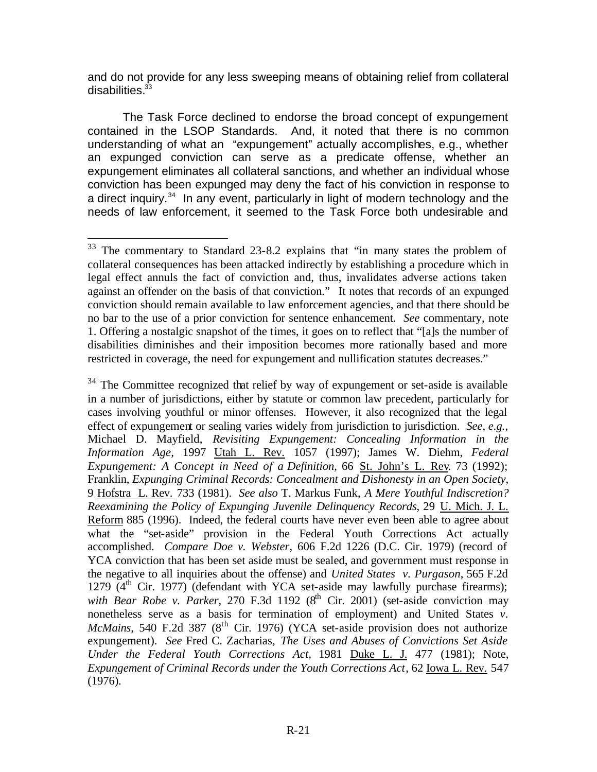and do not provide for any less sweeping means of obtaining relief from collateral disabilities. $33$ 

The Task Force declined to endorse the broad concept of expungement contained in the LSOP Standards. And, it noted that there is no common understanding of what an "expungement" actually accomplishes, e.g., whether an expunged conviction can serve as a predicate offense, whether an expungement eliminates all collateral sanctions, and whether an individual whose conviction has been expunged may deny the fact of his conviction in response to a direct inquiry.<sup>34</sup> In any event, particularly in light of modern technology and the needs of law enforcement, it seemed to the Task Force both undesirable and

 $34$  The Committee recognized that relief by way of expungement or set-aside is available in a number of jurisdictions, either by statute or common law precedent, particularly for cases involving youthful or minor offenses. However, it also recognized that the legal effect of expungement or sealing varies widely from jurisdiction to jurisdiction. *See, e.g.,* Michael D. Mayfield, *Revisiting Expungement: Concealing Information in the Information Age,* 1997 Utah L. Rev. 1057 (1997); James W. Diehm, *Federal Expungement: A Concept in Need of a Definition,* 66 St. John's L. Rev. 73 (1992); Franklin, *Expunging Criminal Records: Concealment and Dishonesty in an Open Society,*  9 Hofstra L. Rev. 733 (1981). *See also* T. Markus Funk, *A Mere Youthful Indiscretion? Reexamining the Policy of Expunging Juvenile Delinquency Records*, 29 U. Mich. J. L. Reform 885 (1996). Indeed, the federal courts have never even been able to agree about what the "set-aside" provision in the Federal Youth Corrections Act actually accomplished. *Compare Doe v. Webster*, 606 F.2d 1226 (D.C. Cir. 1979) (record of YCA conviction that has been set aside must be sealed, and government must response in the negative to all inquiries about the offense) and *United States v. Purgason*, 565 F.2d 1279  $(4<sup>th</sup>$  Cir. 1977) (defendant with YCA set-aside may lawfully purchase firearms); *with Bear Robe v. Parker*, 270 F.3d 1192 ( $8<sup>th</sup>$  Cir. 2001) (set-aside conviction may nonetheless serve as a basis for termination of employment) and United States *v. McMains*, 540 F.2d 387 (8<sup>th</sup> Cir. 1976) (YCA set-aside provision does not authorize expungement). *See* Fred C. Zacharias, *The Uses and Abuses of Convictions Set Aside Under the Federal Youth Corrections Act,* 1981 Duke L. J. 477 (1981); Note, *Expungement of Criminal Records under the Youth Corrections Act*, 62 Iowa L. Rev. 547 (1976).

 $\overline{a}$  $33$  The commentary to Standard 23-8.2 explains that "in many states the problem of collateral consequences has been attacked indirectly by establishing a procedure which in legal effect annuls the fact of conviction and, thus, invalidates adverse actions taken against an offender on the basis of that conviction." It notes that records of an expunged conviction should remain available to law enforcement agencies, and that there should be no bar to the use of a prior conviction for sentence enhancement. *See* commentary, note 1. Offering a nostalgic snapshot of the times, it goes on to reflect that "[a]s the number of disabilities diminishes and their imposition becomes more rationally based and more restricted in coverage, the need for expungement and nullification statutes decreases."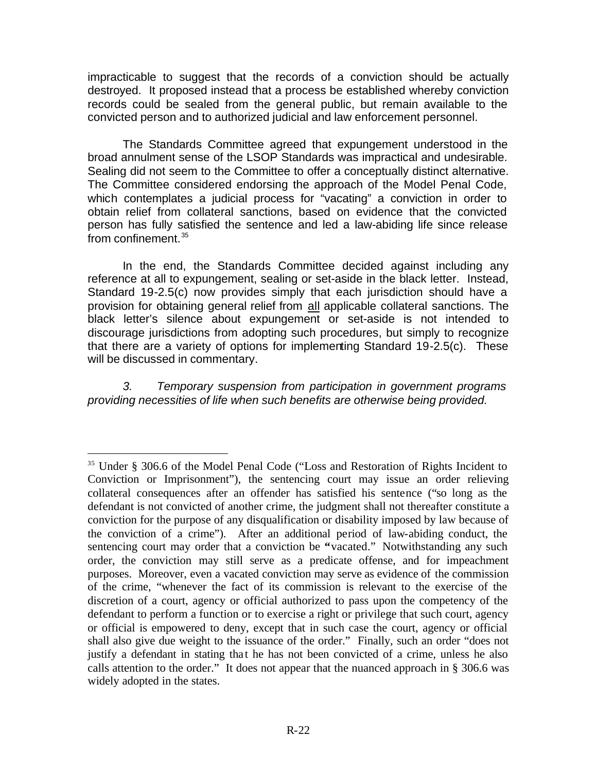impracticable to suggest that the records of a conviction should be actually destroyed. It proposed instead that a process be established whereby conviction records could be sealed from the general public, but remain available to the convicted person and to authorized judicial and law enforcement personnel.

The Standards Committee agreed that expungement understood in the broad annulment sense of the LSOP Standards was impractical and undesirable. Sealing did not seem to the Committee to offer a conceptually distinct alternative. The Committee considered endorsing the approach of the Model Penal Code, which contemplates a judicial process for "vacating" a conviction in order to obtain relief from collateral sanctions, based on evidence that the convicted person has fully satisfied the sentence and led a law-abiding life since release from confinement.<sup>35</sup>

In the end, the Standards Committee decided against including any reference at all to expungement, sealing or set-aside in the black letter. Instead, Standard 19-2.5(c) now provides simply that each jurisdiction should have a provision for obtaining general relief from all applicable collateral sanctions. The black letter's silence about expungement or set-aside is not intended to discourage jurisdictions from adopting such procedures, but simply to recognize that there are a variety of options for implementing Standard 19-2.5(c). These will be discussed in commentary.

*3. Temporary suspension from participation in government programs providing necessities of life when such benefits are otherwise being provided.* 

<sup>&</sup>lt;sup>35</sup> Under § 306.6 of the Model Penal Code ("Loss and Restoration of Rights Incident to Conviction or Imprisonment"), the sentencing court may issue an order relieving collateral consequences after an offender has satisfied his sentence ("so long as the defendant is not convicted of another crime, the judgment shall not thereafter constitute a conviction for the purpose of any disqualification or disability imposed by law because of the conviction of a crime"). After an additional period of law-abiding conduct, the sentencing court may order that a conviction be **"**vacated." Notwithstanding any such order, the conviction may still serve as a predicate offense, and for impeachment purposes. Moreover, even a vacated conviction may serve as evidence of the commission of the crime, "whenever the fact of its commission is relevant to the exercise of the discretion of a court, agency or official authorized to pass upon the competency of the defendant to perform a function or to exercise a right or privilege that such court, agency or official is empowered to deny, except that in such case the court, agency or official shall also give due weight to the issuance of the order." Finally, such an order "does not justify a defendant in stating that he has not been convicted of a crime, unless he also calls attention to the order." It does not appear that the nuanced approach in § 306.6 was widely adopted in the states.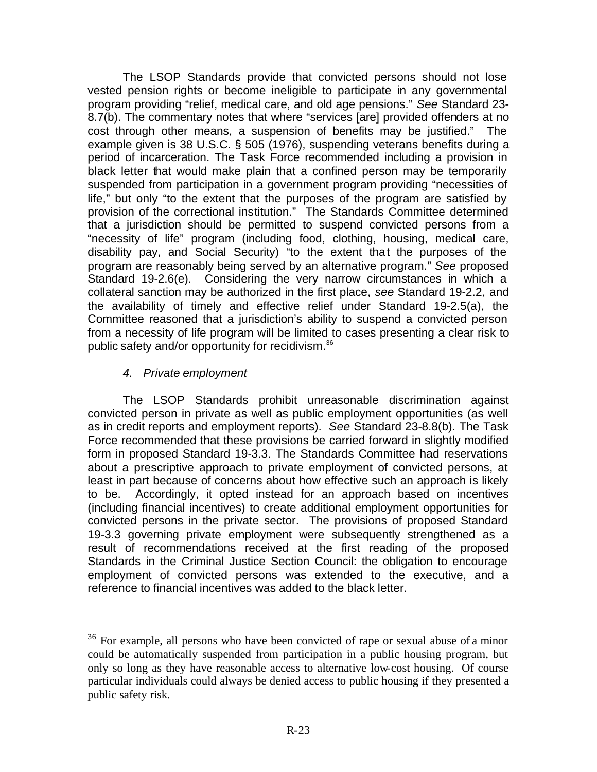The LSOP Standards provide that convicted persons should not lose vested pension rights or become ineligible to participate in any governmental program providing "relief, medical care, and old age pensions." *See* Standard 23- 8.7(b). The commentary notes that where "services [are] provided offenders at no cost through other means, a suspension of benefits may be justified." The example given is 38 U.S.C. § 505 (1976), suspending veterans benefits during a period of incarceration. The Task Force recommended including a provision in black letter that would make plain that a confined person may be temporarily suspended from participation in a government program providing "necessities of life," but only "to the extent that the purposes of the program are satisfied by provision of the correctional institution." The Standards Committee determined that a jurisdiction should be permitted to suspend convicted persons from a "necessity of life" program (including food, clothing, housing, medical care, disability pay, and Social Security) "to the extent that the purposes of the program are reasonably being served by an alternative program." *See* proposed Standard 19-2.6(e). Considering the very narrow circumstances in which a collateral sanction may be authorized in the first place, *see* Standard 19-2.2, and the availability of timely and effective relief under Standard 19-2.5(a), the Committee reasoned that a jurisdiction's ability to suspend a convicted person from a necessity of life program will be limited to cases presenting a clear risk to public safety and/or opportunity for recidivism.<sup>36</sup>

### *4. Private employment*

 $\overline{a}$ 

The LSOP Standards prohibit unreasonable discrimination against convicted person in private as well as public employment opportunities (as well as in credit reports and employment reports). *See* Standard 23-8.8(b). The Task Force recommended that these provisions be carried forward in slightly modified form in proposed Standard 19-3.3. The Standards Committee had reservations about a prescriptive approach to private employment of convicted persons, at least in part because of concerns about how effective such an approach is likely to be. Accordingly, it opted instead for an approach based on incentives (including financial incentives) to create additional employment opportunities for convicted persons in the private sector. The provisions of proposed Standard 19-3.3 governing private employment were subsequently strengthened as a result of recommendations received at the first reading of the proposed Standards in the Criminal Justice Section Council: the obligation to encourage employment of convicted persons was extended to the executive, and a reference to financial incentives was added to the black letter.

<sup>&</sup>lt;sup>36</sup> For example, all persons who have been convicted of rape or sexual abuse of a minor could be automatically suspended from participation in a public housing program, but only so long as they have reasonable access to alternative low-cost housing. Of course particular individuals could always be denied access to public housing if they presented a public safety risk.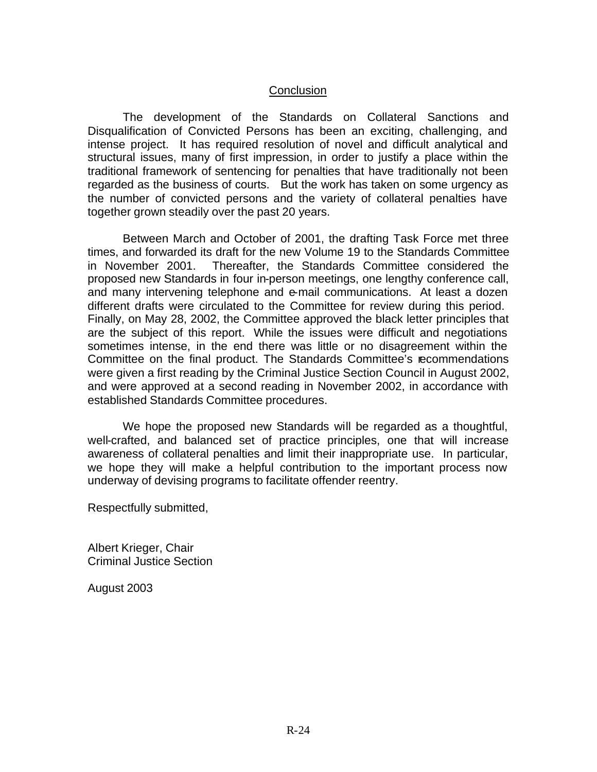#### **Conclusion**

The development of the Standards on Collateral Sanctions and Disqualification of Convicted Persons has been an exciting, challenging, and intense project. It has required resolution of novel and difficult analytical and structural issues, many of first impression, in order to justify a place within the traditional framework of sentencing for penalties that have traditionally not been regarded as the business of courts. But the work has taken on some urgency as the number of convicted persons and the variety of collateral penalties have together grown steadily over the past 20 years.

Between March and October of 2001, the drafting Task Force met three times, and forwarded its draft for the new Volume 19 to the Standards Committee in November 2001. Thereafter, the Standards Committee considered the proposed new Standards in four in-person meetings, one lengthy conference call, and many intervening telephone and e-mail communications. At least a dozen different drafts were circulated to the Committee for review during this period. Finally, on May 28, 2002, the Committee approved the black letter principles that are the subject of this report. While the issues were difficult and negotiations sometimes intense, in the end there was little or no disagreement within the Committee on the final product. The Standards Committee's recommendations were given a first reading by the Criminal Justice Section Council in August 2002, and were approved at a second reading in November 2002, in accordance with established Standards Committee procedures.

We hope the proposed new Standards will be regarded as a thoughtful, well-crafted, and balanced set of practice principles, one that will increase awareness of collateral penalties and limit their inappropriate use. In particular, we hope they will make a helpful contribution to the important process now underway of devising programs to facilitate offender reentry.

Respectfully submitted,

Albert Krieger, Chair Criminal Justice Section

August 2003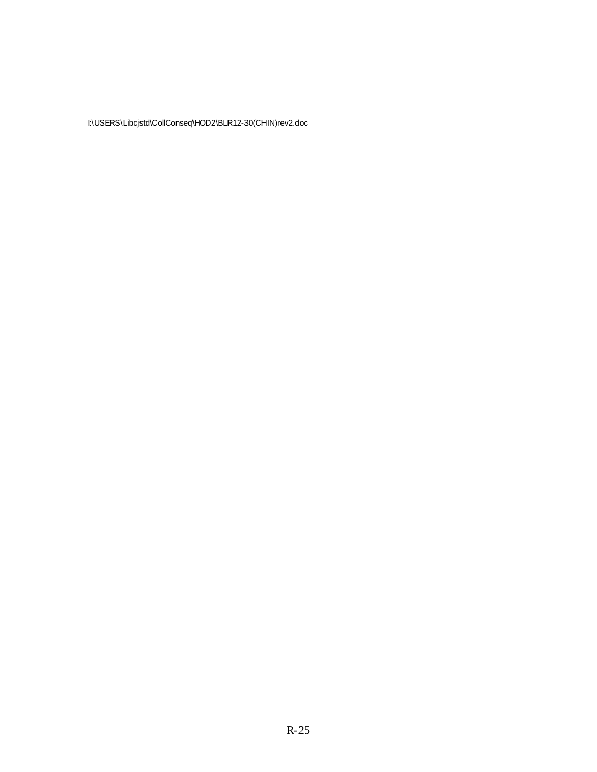I:\USERS\Libcjstd\CollConseq\HOD2\BLR12-30(CHIN)rev2.doc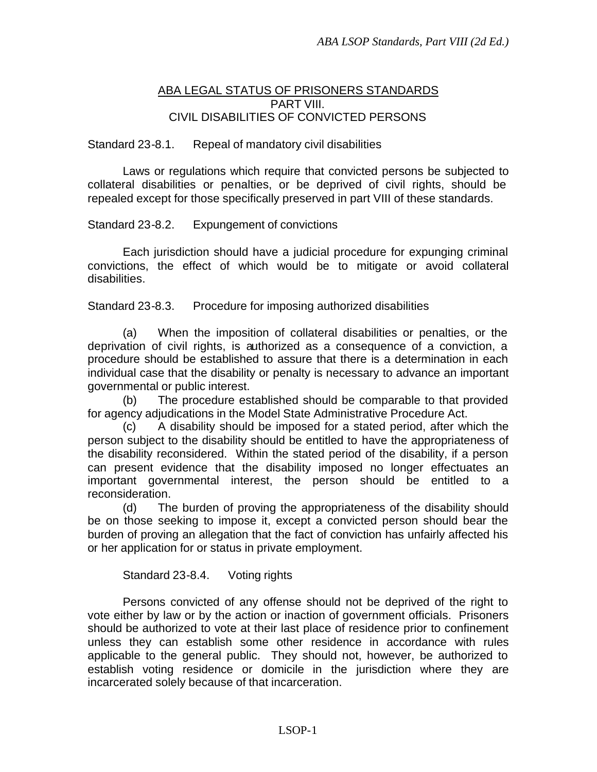## ABA LEGAL STATUS OF PRISONERS STANDARDS PART VIII. CIVIL DISABILITIES OF CONVICTED PERSONS

#### Standard 23-8.1. Repeal of mandatory civil disabilities

Laws or regulations which require that convicted persons be subjected to collateral disabilities or penalties, or be deprived of civil rights, should be repealed except for those specifically preserved in part VIII of these standards.

Standard 23-8.2. Expungement of convictions

Each jurisdiction should have a judicial procedure for expunging criminal convictions, the effect of which would be to mitigate or avoid collateral disabilities.

Standard 23-8.3. Procedure for imposing authorized disabilities

(a) When the imposition of collateral disabilities or penalties, or the deprivation of civil rights, is authorized as a consequence of a conviction, a procedure should be established to assure that there is a determination in each individual case that the disability or penalty is necessary to advance an important governmental or public interest.

(b) The procedure established should be comparable to that provided for agency adjudications in the Model State Administrative Procedure Act.

(c) A disability should be imposed for a stated period, after which the person subject to the disability should be entitled to have the appropriateness of the disability reconsidered. Within the stated period of the disability, if a person can present evidence that the disability imposed no longer effectuates an important governmental interest, the person should be entitled to a reconsideration.

(d) The burden of proving the appropriateness of the disability should be on those seeking to impose it, except a convicted person should bear the burden of proving an allegation that the fact of conviction has unfairly affected his or her application for or status in private employment.

Standard 23-8.4. Voting rights

Persons convicted of any offense should not be deprived of the right to vote either by law or by the action or inaction of government officials. Prisoners should be authorized to vote at their last place of residence prior to confinement unless they can establish some other residence in accordance with rules applicable to the general public. They should not, however, be authorized to establish voting residence or domicile in the jurisdiction where they are incarcerated solely because of that incarceration.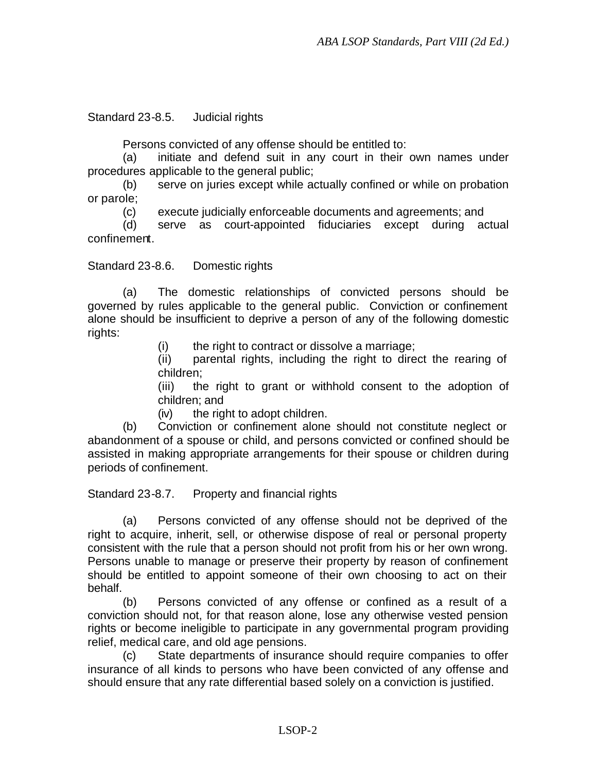Standard 23-8.5. Judicial rights

Persons convicted of any offense should be entitled to:

(a) initiate and defend suit in any court in their own names under procedures applicable to the general public;

(b) serve on juries except while actually confined or while on probation or parole;

(c) execute judicially enforceable documents and agreements; and

(d) serve as court-appointed fiduciaries except during actual confinement.

Standard 23-8.6. Domestic rights

(a) The domestic relationships of convicted persons should be governed by rules applicable to the general public. Conviction or confinement alone should be insufficient to deprive a person of any of the following domestic rights:

(i) the right to contract or dissolve a marriage;

(ii) parental rights, including the right to direct the rearing of children;

(iii) the right to grant or withhold consent to the adoption of children; and

(iv) the right to adopt children.

(b) Conviction or confinement alone should not constitute neglect or abandonment of a spouse or child, and persons convicted or confined should be assisted in making appropriate arrangements for their spouse or children during periods of confinement.

Standard 23-8.7. Property and financial rights

(a) Persons convicted of any offense should not be deprived of the right to acquire, inherit, sell, or otherwise dispose of real or personal property consistent with the rule that a person should not profit from his or her own wrong. Persons unable to manage or preserve their property by reason of confinement should be entitled to appoint someone of their own choosing to act on their behalf.

(b) Persons convicted of any offense or confined as a result of a conviction should not, for that reason alone, lose any otherwise vested pension rights or become ineligible to participate in any governmental program providing relief, medical care, and old age pensions.

(c) State departments of insurance should require companies to offer insurance of all kinds to persons who have been convicted of any offense and should ensure that any rate differential based solely on a conviction is justified.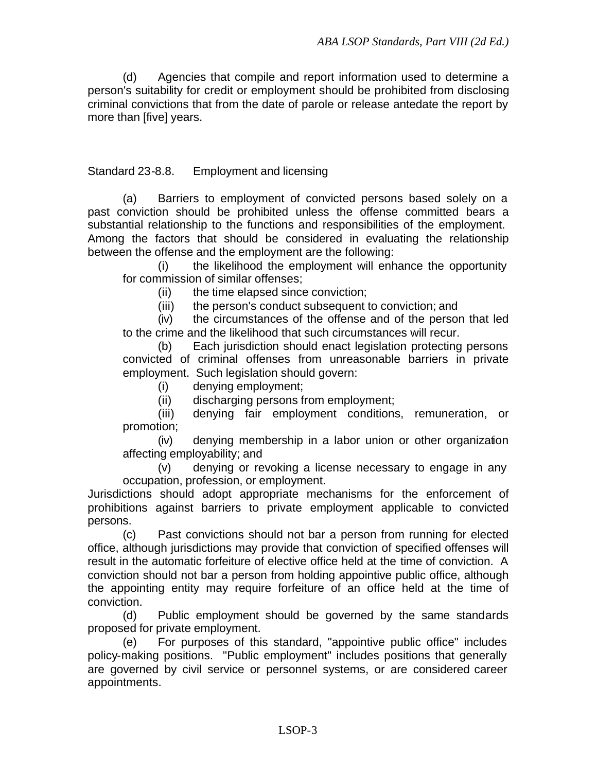(d) Agencies that compile and report information used to determine a person's suitability for credit or employment should be prohibited from disclosing criminal convictions that from the date of parole or release antedate the report by more than [five] years.

### Standard 23-8.8. Employment and licensing

(a) Barriers to employment of convicted persons based solely on a past conviction should be prohibited unless the offense committed bears a substantial relationship to the functions and responsibilities of the employment. Among the factors that should be considered in evaluating the relationship between the offense and the employment are the following:

(i) the likelihood the employment will enhance the opportunity for commission of similar offenses;

(ii) the time elapsed since conviction;

(iii) the person's conduct subsequent to conviction; and

(iv) the circumstances of the offense and of the person that led to the crime and the likelihood that such circumstances will recur.

(b) Each jurisdiction should enact legislation protecting persons convicted of criminal offenses from unreasonable barriers in private employment. Such legislation should govern:

(i) denying employment;

(ii) discharging persons from employment;

(iii) denying fair employment conditions, remuneration, or promotion;

(iv) denying membership in a labor union or other organization affecting employability; and

(v) denying or revoking a license necessary to engage in any occupation, profession, or employment.

Jurisdictions should adopt appropriate mechanisms for the enforcement of prohibitions against barriers to private employment applicable to convicted persons.

(c) Past convictions should not bar a person from running for elected office, although jurisdictions may provide that conviction of specified offenses will result in the automatic forfeiture of elective office held at the time of conviction. A conviction should not bar a person from holding appointive public office, although the appointing entity may require forfeiture of an office held at the time of conviction.

(d) Public employment should be governed by the same standards proposed for private employment.

(e) For purposes of this standard, "appointive public office" includes policy-making positions. "Public employment" includes positions that generally are governed by civil service or personnel systems, or are considered career appointments.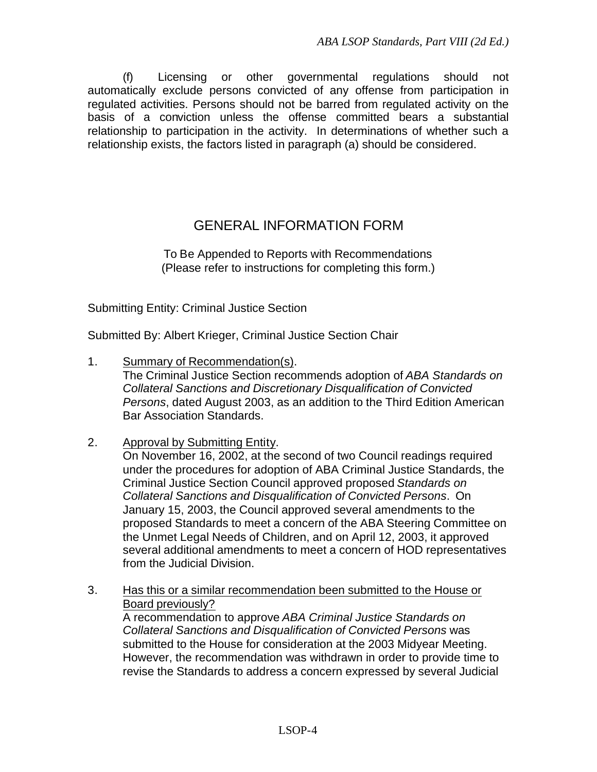(f) Licensing or other governmental regulations should not automatically exclude persons convicted of any offense from participation in regulated activities. Persons should not be barred from regulated activity on the basis of a conviction unless the offense committed bears a substantial relationship to participation in the activity. In determinations of whether such a relationship exists, the factors listed in paragraph (a) should be considered.

# GENERAL INFORMATION FORM

To Be Appended to Reports with Recommendations (Please refer to instructions for completing this form.)

Submitting Entity: Criminal Justice Section

Submitted By: Albert Krieger, Criminal Justice Section Chair

1. Summary of Recommendation(s).

The Criminal Justice Section recommends adoption of *ABA Standards on Collateral Sanctions and Discretionary Disqualification of Convicted Persons*, dated August 2003, as an addition to the Third Edition American Bar Association Standards.

2. Approval by Submitting Entity.

On November 16, 2002, at the second of two Council readings required under the procedures for adoption of ABA Criminal Justice Standards, the Criminal Justice Section Council approved proposed *Standards on Collateral Sanctions and Disqualification of Convicted Persons*. On January 15, 2003, the Council approved several amendments to the proposed Standards to meet a concern of the ABA Steering Committee on the Unmet Legal Needs of Children, and on April 12, 2003, it approved several additional amendments to meet a concern of HOD representatives from the Judicial Division.

3. Has this or a similar recommendation been submitted to the House or Board previously?

A recommendation to approve *ABA Criminal Justice Standards on Collateral Sanctions and Disqualification of Convicted Persons* was submitted to the House for consideration at the 2003 Midyear Meeting. However, the recommendation was withdrawn in order to provide time to revise the Standards to address a concern expressed by several Judicial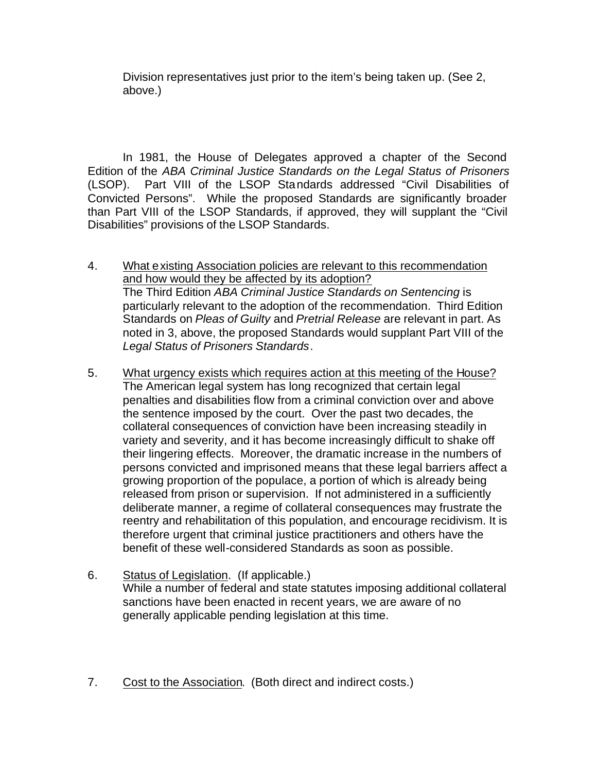Division representatives just prior to the item's being taken up. (See 2, above.)

In 1981, the House of Delegates approved a chapter of the Second Edition of the *ABA Criminal Justice Standards on the Legal Status of Prisoners* (LSOP). Part VIII of the LSOP Standards addressed "Civil Disabilities of Convicted Persons". While the proposed Standards are significantly broader than Part VIII of the LSOP Standards, if approved, they will supplant the "Civil Disabilities" provisions of the LSOP Standards.

- 4. What existing Association policies are relevant to this recommendation and how would they be affected by its adoption? The Third Edition *ABA Criminal Justice Standards on Sentencing* is particularly relevant to the adoption of the recommendation. Third Edition Standards on *Pleas of Guilty* and *Pretrial Release* are relevant in part. As noted in 3, above, the proposed Standards would supplant Part VIII of the *Legal Status of Prisoners Standards*.
- 5. What urgency exists which requires action at this meeting of the House? The American legal system has long recognized that certain legal penalties and disabilities flow from a criminal conviction over and above the sentence imposed by the court. Over the past two decades, the collateral consequences of conviction have been increasing steadily in variety and severity, and it has become increasingly difficult to shake off their lingering effects. Moreover, the dramatic increase in the numbers of persons convicted and imprisoned means that these legal barriers affect a growing proportion of the populace, a portion of which is already being released from prison or supervision. If not administered in a sufficiently deliberate manner, a regime of collateral consequences may frustrate the reentry and rehabilitation of this population, and encourage recidivism. It is therefore urgent that criminal justice practitioners and others have the benefit of these well-considered Standards as soon as possible.
- 6. Status of Legislation. (If applicable.) While a number of federal and state statutes imposing additional collateral sanctions have been enacted in recent years, we are aware of no generally applicable pending legislation at this time.
- 7. Cost to the Association. (Both direct and indirect costs.)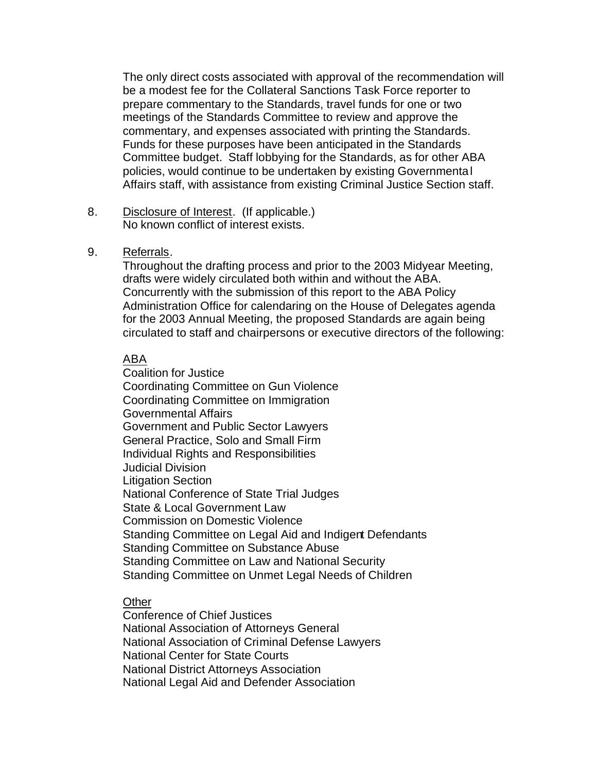The only direct costs associated with approval of the recommendation will be a modest fee for the Collateral Sanctions Task Force reporter to prepare commentary to the Standards, travel funds for one or two meetings of the Standards Committee to review and approve the commentary, and expenses associated with printing the Standards. Funds for these purposes have been anticipated in the Standards Committee budget. Staff lobbying for the Standards, as for other ABA policies, would continue to be undertaken by existing Governmental Affairs staff, with assistance from existing Criminal Justice Section staff.

- 8. Disclosure of Interest. (If applicable.) No known conflict of interest exists.
- 9. Referrals.

Throughout the drafting process and prior to the 2003 Midyear Meeting, drafts were widely circulated both within and without the ABA. Concurrently with the submission of this report to the ABA Policy Administration Office for calendaring on the House of Delegates agenda for the 2003 Annual Meeting, the proposed Standards are again being circulated to staff and chairpersons or executive directors of the following:

#### ABA

Coalition for Justice Coordinating Committee on Gun Violence Coordinating Committee on Immigration Governmental Affairs Government and Public Sector Lawyers General Practice, Solo and Small Firm Individual Rights and Responsibilities Judicial Division Litigation Section National Conference of State Trial Judges State & Local Government Law Commission on Domestic Violence Standing Committee on Legal Aid and Indigent Defendants Standing Committee on Substance Abuse Standing Committee on Law and National Security Standing Committee on Unmet Legal Needs of Children

#### **Other**

Conference of Chief Justices National Association of Attorneys General National Association of Criminal Defense Lawyers National Center for State Courts National District Attorneys Association National Legal Aid and Defender Association